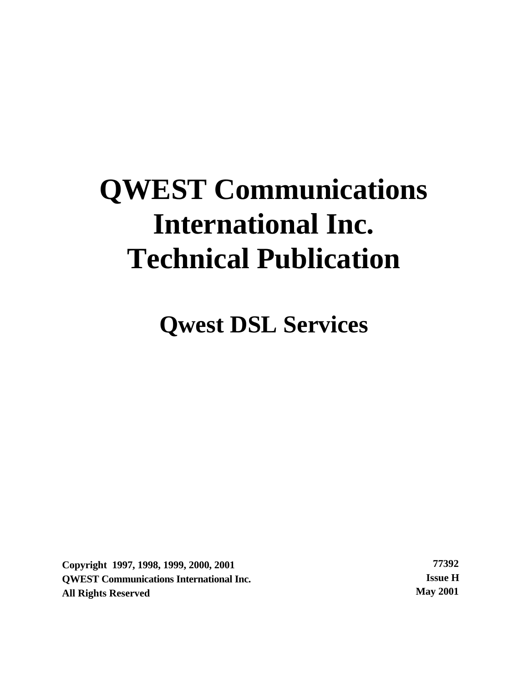# **QWEST Communications International Inc. Technical Publication**

**Qwest DSL Services**

**Copyright 1997, 1998, 1999, 2000, 2001 77392 QWEST Communications International Inc. Issue H All Rights Reserved May 2001**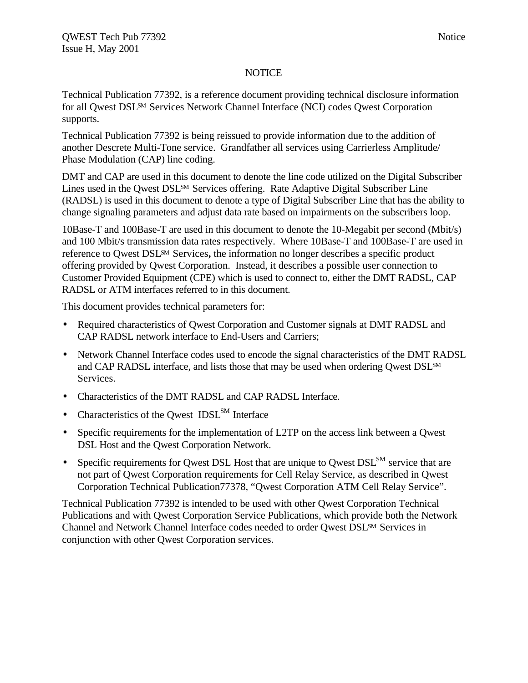#### NOTICE

Technical Publication 77392, is a reference document providing technical disclosure information for all Qwest DSLSM Services Network Channel Interface (NCI) codes Qwest Corporation supports.

Technical Publication 77392 is being reissued to provide information due to the addition of another Descrete Multi-Tone service. Grandfather all services using Carrierless Amplitude/ Phase Modulation (CAP) line coding.

DMT and CAP are used in this document to denote the line code utilized on the Digital Subscriber Lines used in the Qwest DSLSM Services offering. Rate Adaptive Digital Subscriber Line (RADSL) is used in this document to denote a type of Digital Subscriber Line that has the ability to change signaling parameters and adjust data rate based on impairments on the subscribers loop.

10Base-T and 100Base-T are used in this document to denote the 10-Megabit per second (Mbit/s) and 100 Mbit/s transmission data rates respectively. Where 10Base-T and 100Base-T are used in reference to Qwest DSLSM Services**,** the information no longer describes a specific product offering provided by Qwest Corporation. Instead, it describes a possible user connection to Customer Provided Equipment (CPE) which is used to connect to, either the DMT RADSL, CAP RADSL or ATM interfaces referred to in this document.

This document provides technical parameters for:

- Required characteristics of Owest Corporation and Customer signals at DMT RADSL and CAP RADSL network interface to End-Users and Carriers;
- Network Channel Interface codes used to encode the signal characteristics of the DMT RADSL and CAP RADSL interface, and lists those that may be used when ordering Qwest DSL<sup>SM</sup> Services.
- Characteristics of the DMT RADSL and CAP RADSL Interface.
- Characteristics of the Owest  $IDSL<sub>SM</sub>$  Interface
- Specific requirements for the implementation of L2TP on the access link between a Owest DSL Host and the Qwest Corporation Network.
- Specific requirements for Qwest DSL Host that are unique to Qwest  $DSL<sup>SM</sup>$  service that are not part of Qwest Corporation requirements for Cell Relay Service, as described in Qwest Corporation Technical Publication77378, "Qwest Corporation ATM Cell Relay Service".

Technical Publication 77392 is intended to be used with other Qwest Corporation Technical Publications and with Qwest Corporation Service Publications, which provide both the Network Channel and Network Channel Interface codes needed to order Qwest DSLSM Services in conjunction with other Qwest Corporation services.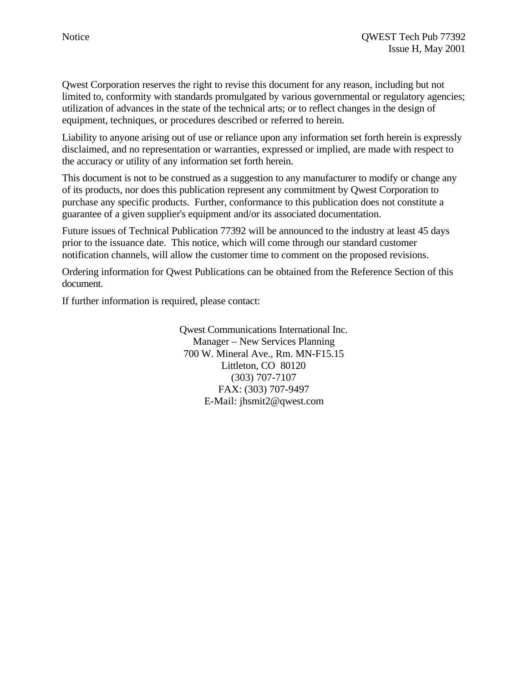Qwest Corporation reserves the right to revise this document for any reason, including but not limited to, conformity with standards promulgated by various governmental or regulatory agencies; utilization of advances in the state of the technical arts; or to reflect changes in the design of equipment, techniques, or procedures described or referred to herein.

Liability to anyone arising out of use or reliance upon any information set forth herein is expressly disclaimed, and no representation or warranties, expressed or implied, are made with respect to the accuracy or utility of any information set forth herein.

This document is not to be construed as a suggestion to any manufacturer to modify or change any of its products, nor does this publication represent any commitment by Qwest Corporation to purchase any specific products. Further, conformance to this publication does not constitute a guarantee of a given supplier's equipment and/or its associated documentation.

Future issues of Technical Publication 77392 will be announced to the industry at least 45 days prior to the issuance date. This notice, which will come through our standard customer notification channels, will allow the customer time to comment on the proposed revisions.

Ordering information for Qwest Publications can be obtained from the Reference Section of this document.

If further information is required, please contact:

Qwest Communications International Inc. Manager – New Services Planning 700 W. Mineral Ave., Rm. MN-F15.15 Littleton, CO 80120 (303) 707-7107 FAX: (303) 707-9497 E-Mail: jhsmit2@qwest.com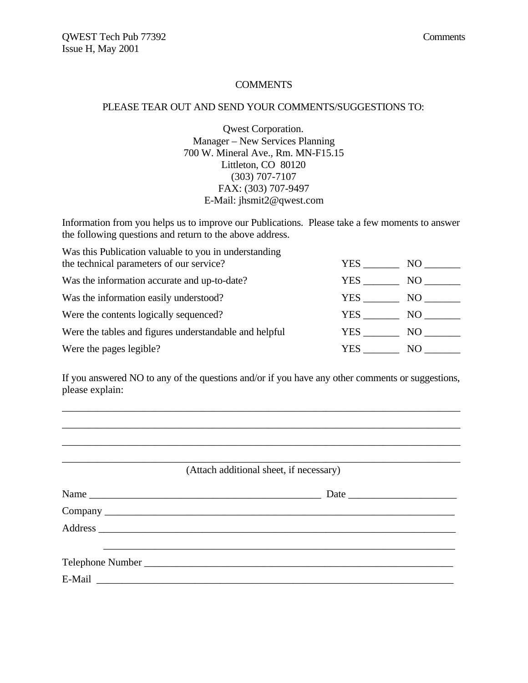#### **COMMENTS**

#### PLEASE TEAR OUT AND SEND YOUR COMMENTS/SUGGESTIONS TO:

Qwest Corporation. Manager – New Services Planning 700 W. Mineral Ave., Rm. MN-F15.15 Littleton, CO 80120 (303) 707-7107 FAX: (303) 707-9497 E-Mail: jhsmit2@qwest.com

Information from you helps us to improve our Publications. Please take a few moments to answer the following questions and return to the above address.

| Was this Publication valuable to you in understanding  |      |      |
|--------------------------------------------------------|------|------|
| the technical parameters of our service?               | YES  | NO - |
| Was the information accurate and up-to-date?           | YES. | NO.  |
| Was the information easily understood?                 | YES  | NO   |
| Were the contents logically sequenced?                 | YES  | NO.  |
| Were the tables and figures understandable and helpful | YES  | NO.  |
| Were the pages legible?                                | YES. | NО   |

If you answered NO to any of the questions and/or if you have any other comments or suggestions, please explain:

\_\_\_\_\_\_\_\_\_\_\_\_\_\_\_\_\_\_\_\_\_\_\_\_\_\_\_\_\_\_\_\_\_\_\_\_\_\_\_\_\_\_\_\_\_\_\_\_\_\_\_\_\_\_\_\_\_\_\_\_\_\_\_\_\_\_\_\_\_\_\_\_\_\_\_\_\_ \_\_\_\_\_\_\_\_\_\_\_\_\_\_\_\_\_\_\_\_\_\_\_\_\_\_\_\_\_\_\_\_\_\_\_\_\_\_\_\_\_\_\_\_\_\_\_\_\_\_\_\_\_\_\_\_\_\_\_\_\_\_\_\_\_\_\_\_\_\_\_\_\_\_\_\_\_

| (Attach additional sheet, if necessary) |
|-----------------------------------------|
| Date                                    |
|                                         |
|                                         |
|                                         |
|                                         |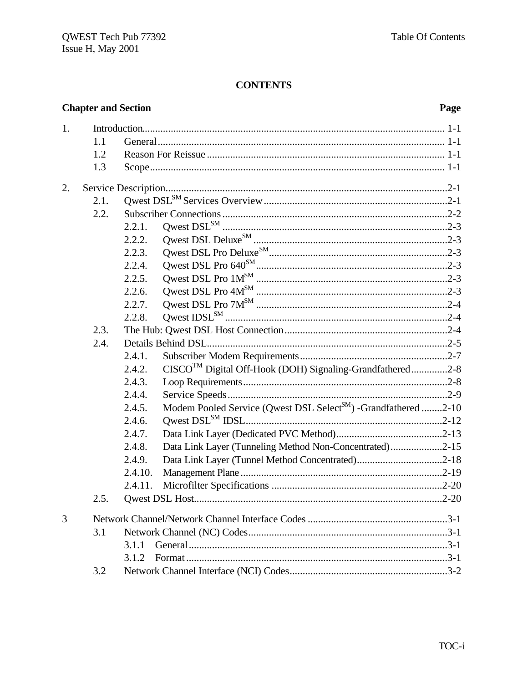#### **CONTENTS**

### **Chapter and Section**

### Page

| 1. |      |         |                                                                            |  |
|----|------|---------|----------------------------------------------------------------------------|--|
|    | 1.1  |         |                                                                            |  |
|    | 1.2  |         |                                                                            |  |
|    | 1.3  |         |                                                                            |  |
| 2. |      |         |                                                                            |  |
|    | 2.1. |         |                                                                            |  |
|    | 2.2. |         |                                                                            |  |
|    |      | 2.2.1.  |                                                                            |  |
|    |      | 2.2.2.  |                                                                            |  |
|    |      | 2.2.3.  |                                                                            |  |
|    |      | 2.2.4.  |                                                                            |  |
|    |      | 2.2.5.  |                                                                            |  |
|    |      | 2.2.6.  |                                                                            |  |
|    |      | 2.2.7.  |                                                                            |  |
|    |      | 2.2.8.  |                                                                            |  |
|    | 2.3. |         |                                                                            |  |
|    | 2.4. |         |                                                                            |  |
|    |      | 2.4.1.  |                                                                            |  |
|    |      | 2.4.2.  | $CISCO^{TM}$ Digital Off-Hook (DOH) Signaling-Grandfathered2-8             |  |
|    |      | 2.4.3.  |                                                                            |  |
|    |      | 2.4.4.  |                                                                            |  |
|    |      | 2.4.5.  | Modem Pooled Service (Qwest DSL Select <sup>SM</sup> ) -Grandfathered 2-10 |  |
|    |      | 2.4.6.  |                                                                            |  |
|    |      | 2.4.7.  |                                                                            |  |
|    |      | 2.4.8.  | Data Link Layer (Tunneling Method Non-Concentrated)2-15                    |  |
|    |      | 2.4.9.  | Data Link Layer (Tunnel Method Concentrated)2-18                           |  |
|    |      | 2.4.10. |                                                                            |  |
|    |      | 2.4.11. |                                                                            |  |
|    | 2.5. |         |                                                                            |  |
| 3  |      |         |                                                                            |  |
|    | 3.1  |         |                                                                            |  |
|    |      | 3.1.1   |                                                                            |  |
|    |      | 3.1.2   |                                                                            |  |
|    | 3.2  |         |                                                                            |  |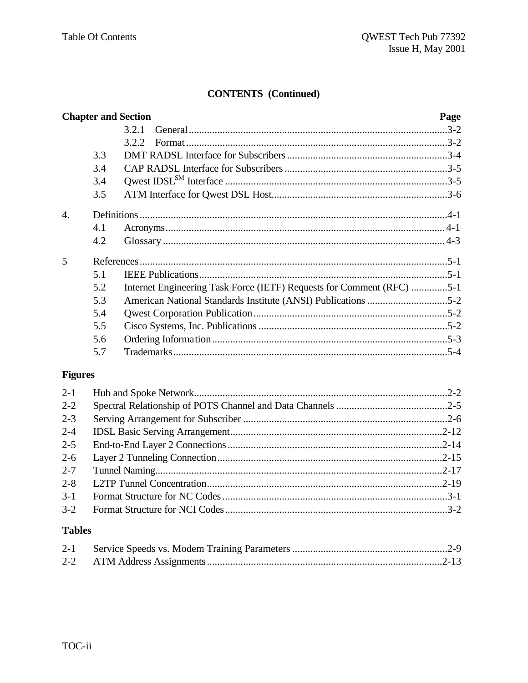#### **CONTENTS** (Continued)

|                  | <b>Chapter and Section</b> |                                                                       | Page |
|------------------|----------------------------|-----------------------------------------------------------------------|------|
|                  |                            | 3.2.1                                                                 |      |
|                  |                            | 3.2.2                                                                 |      |
|                  | 3.3                        |                                                                       |      |
|                  | 3.4                        |                                                                       |      |
|                  | 3.4                        |                                                                       |      |
|                  | 3.5                        |                                                                       |      |
| $\overline{4}$ . |                            |                                                                       |      |
|                  | 4.1                        |                                                                       |      |
|                  | 4.2                        |                                                                       |      |
| 5                |                            |                                                                       |      |
|                  | 5.1                        |                                                                       |      |
|                  | 5.2                        | Internet Engineering Task Force (IETF) Requests for Comment (RFC) 5-1 |      |
|                  | 5.3                        | American National Standards Institute (ANSI) Publications 5-2         |      |
|                  | 5.4                        |                                                                       |      |
|                  | 5.5                        |                                                                       |      |
|                  | 5.6                        |                                                                       |      |
|                  | 5.7                        |                                                                       |      |
| <b>Figures</b>   |                            |                                                                       |      |
| $2 - 1$          |                            |                                                                       |      |
| $2 - 2$          |                            |                                                                       |      |
| $2 - 3$          |                            |                                                                       |      |
| $2 - 4$          |                            |                                                                       |      |
| $2 - 5$          |                            |                                                                       |      |
| $2 - 6$          |                            |                                                                       |      |
| $2 - 7$          |                            |                                                                       |      |
| $2 - 8$          |                            |                                                                       |      |
| $3 - 1$          |                            |                                                                       |      |
| $3 - 2$          |                            |                                                                       |      |
| <b>Tables</b>    |                            |                                                                       |      |
| $2 - 1$          |                            |                                                                       |      |
| $2 - 2$          |                            |                                                                       |      |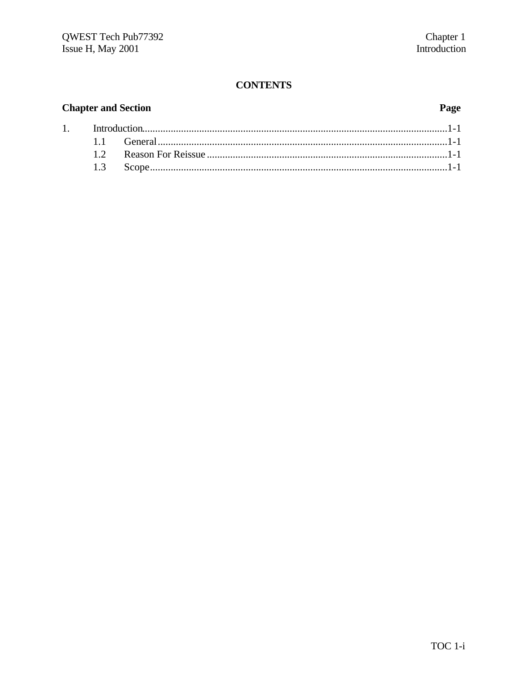#### **CONTENTS**

### **Chapter and Section**

 $1.$ 

### Page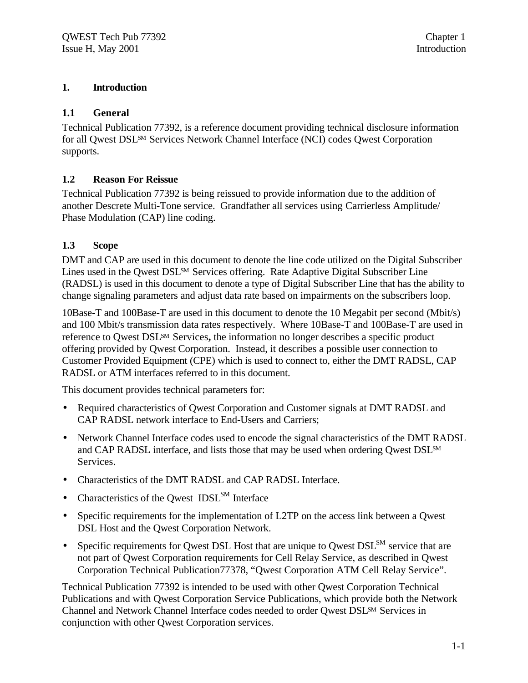#### **1. Introduction**

#### **1.1 General**

Technical Publication 77392, is a reference document providing technical disclosure information for all Qwest DSLSM Services Network Channel Interface (NCI) codes Qwest Corporation supports.

#### **1.2 Reason For Reissue**

Technical Publication 77392 is being reissued to provide information due to the addition of another Descrete Multi-Tone service. Grandfather all services using Carrierless Amplitude/ Phase Modulation (CAP) line coding.

#### **1.3 Scope**

DMT and CAP are used in this document to denote the line code utilized on the Digital Subscriber Lines used in the Qwest DSLSM Services offering. Rate Adaptive Digital Subscriber Line (RADSL) is used in this document to denote a type of Digital Subscriber Line that has the ability to change signaling parameters and adjust data rate based on impairments on the subscribers loop.

10Base-T and 100Base-T are used in this document to denote the 10 Megabit per second (Mbit/s) and 100 Mbit/s transmission data rates respectively. Where 10Base-T and 100Base-T are used in reference to Qwest DSLSM Services**,** the information no longer describes a specific product offering provided by Qwest Corporation. Instead, it describes a possible user connection to Customer Provided Equipment (CPE) which is used to connect to, either the DMT RADSL, CAP RADSL or ATM interfaces referred to in this document.

This document provides technical parameters for:

- Required characteristics of Qwest Corporation and Customer signals at DMT RADSL and CAP RADSL network interface to End-Users and Carriers;
- Network Channel Interface codes used to encode the signal characteristics of the DMT RADSL and CAP RADSL interface, and lists those that may be used when ordering Qwest DSLSM Services.
- Characteristics of the DMT RADSL and CAP RADSL Interface.
- Characteristics of the Qwest IDSL<sup>SM</sup> Interface
- Specific requirements for the implementation of L2TP on the access link between a Qwest DSL Host and the Qwest Corporation Network.
- Specific requirements for Qwest DSL Host that are unique to Qwest DSL<sup>SM</sup> service that are not part of Qwest Corporation requirements for Cell Relay Service, as described in Qwest Corporation Technical Publication77378, "Qwest Corporation ATM Cell Relay Service".

Technical Publication 77392 is intended to be used with other Qwest Corporation Technical Publications and with Qwest Corporation Service Publications, which provide both the Network Channel and Network Channel Interface codes needed to order Qwest DSLSM Services in conjunction with other Qwest Corporation services.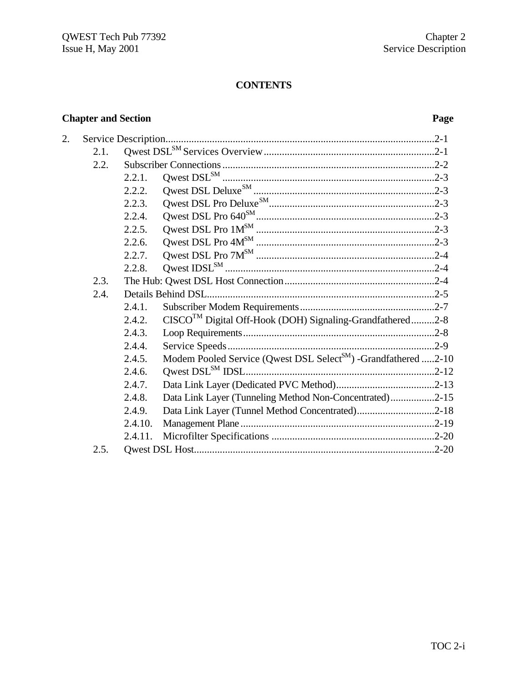#### **CONTENTS**

# **Chapter and Section Page**

| 2. |      |         |                                                                            |  |
|----|------|---------|----------------------------------------------------------------------------|--|
|    | 2.1. |         |                                                                            |  |
|    | 2.2. |         |                                                                            |  |
|    |      | 2.2.1.  |                                                                            |  |
|    |      | 2.2.2.  |                                                                            |  |
|    |      | 2.2.3.  |                                                                            |  |
|    |      | 2.2.4.  |                                                                            |  |
|    |      | 2.2.5.  |                                                                            |  |
|    |      | 2.2.6.  |                                                                            |  |
|    |      | 2.2.7.  |                                                                            |  |
|    |      | 2.2.8.  |                                                                            |  |
|    | 2.3. |         |                                                                            |  |
|    | 2.4. |         |                                                                            |  |
|    |      | 2.4.1.  |                                                                            |  |
|    |      | 2.4.2.  | CISCO <sup>TM</sup> Digital Off-Hook (DOH) Signaling-Grandfathered2-8      |  |
|    |      | 2.4.3.  |                                                                            |  |
|    |      | 2.4.4.  |                                                                            |  |
|    |      | 2.4.5.  | Modem Pooled Service (Qwest DSL Select <sup>SM</sup> ) -Grandfathered 2-10 |  |
|    |      | 2.4.6.  |                                                                            |  |
|    |      | 2.4.7.  |                                                                            |  |
|    |      | 2.4.8.  | Data Link Layer (Tunneling Method Non-Concentrated)2-15                    |  |
|    |      | 2.4.9.  | Data Link Layer (Tunnel Method Concentrated)2-18                           |  |
|    |      | 2.4.10. |                                                                            |  |
|    |      | 2.4.11. |                                                                            |  |
|    | 2.5. |         |                                                                            |  |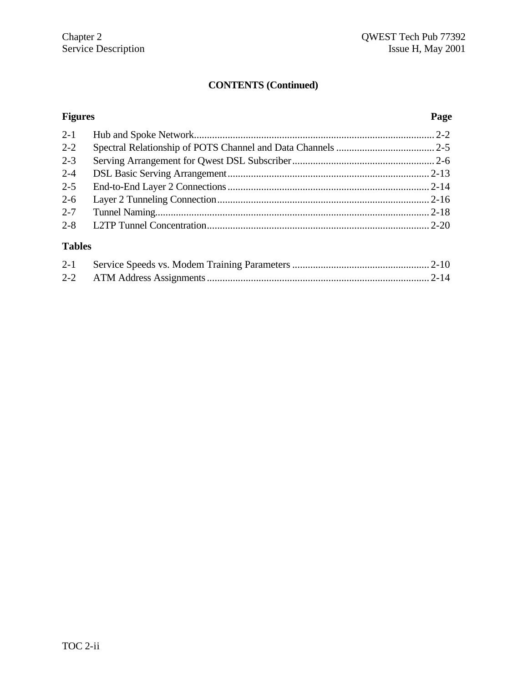#### **CONTENTS (Continued)**

#### **Figures.................................................................................................................................Page** 2-1 Hub and Spoke Network............................................................................................. 2-2 2-2 Spectral Relationship of POTS Channel and Data Channels...................................... 2-5 2-3 Serving Arrangement for Qwest DSL Subscriber....................................................... 2-6 2-4 DSL Basic Serving Arrangement.............................................................................. 2-13 2-5 End-to-End Layer 2 Connections.............................................................................. 2-14 2-6 Layer 2 Tunneling Connection.................................................................................. 2-16 2-7 Tunnel Naming.......................................................................................................... 2-18 2-8 L2TP Tunnel Concentration...................................................................................... 2-20 **Tables**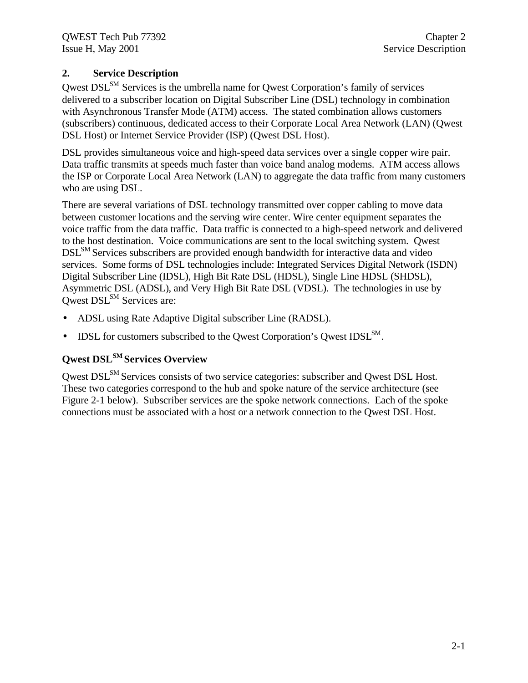#### **2. Service Description**

Owest DSL<sup>SM</sup> Services is the umbrella name for Qwest Corporation's family of services delivered to a subscriber location on Digital Subscriber Line (DSL) technology in combination with Asynchronous Transfer Mode (ATM) access. The stated combination allows customers (subscribers) continuous, dedicated access to their Corporate Local Area Network (LAN) (Qwest DSL Host) or Internet Service Provider (ISP) (Qwest DSL Host).

DSL provides simultaneous voice and high-speed data services over a single copper wire pair. Data traffic transmits at speeds much faster than voice band analog modems. ATM access allows the ISP or Corporate Local Area Network (LAN) to aggregate the data traffic from many customers who are using DSL.

There are several variations of DSL technology transmitted over copper cabling to move data between customer locations and the serving wire center. Wire center equipment separates the voice traffic from the data traffic. Data traffic is connected to a high-speed network and delivered to the host destination. Voice communications are sent to the local switching system. Qwest DSL<sup>SM</sup> Services subscribers are provided enough bandwidth for interactive data and video services. Some forms of DSL technologies include: Integrated Services Digital Network (ISDN) Digital Subscriber Line (IDSL), High Bit Rate DSL (HDSL), Single Line HDSL (SHDSL), Asymmetric DSL (ADSL), and Very High Bit Rate DSL (VDSL). The technologies in use by Owest DSL<sup>SM</sup> Services are:

- ADSL using Rate Adaptive Digital subscriber Line (RADSL).
- IDSL for customers subscribed to the Qwest Corporation's Qwest IDSL $^{SM}$ .

#### **Qwest DSLSM Services Overview**

Qwest DSL<sup>SM</sup> Services consists of two service categories: subscriber and Qwest DSL Host. These two categories correspond to the hub and spoke nature of the service architecture (see Figure 2-1 below). Subscriber services are the spoke network connections. Each of the spoke connections must be associated with a host or a network connection to the Qwest DSL Host.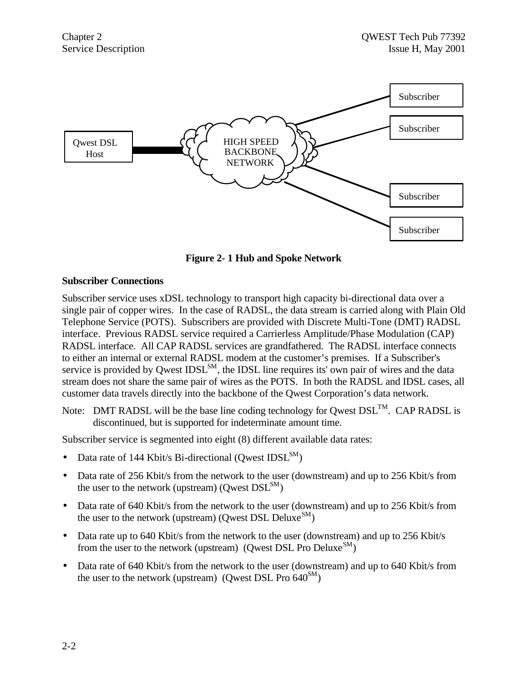

**Figure 2- 1 Hub and Spoke Network**

#### **Subscriber Connections**

Subscriber service uses xDSL technology to transport high capacity bi-directional data over a single pair of copper wires. In the case of RADSL, the data stream is carried along with Plain Old Telephone Service (POTS). Subscribers are provided with Discrete Multi-Tone (DMT) RADSL interface. Previous RADSL service required a Carrierless Amplitude/Phase Modulation (CAP) RADSL interface. All CAP RADSL services are grandfathered. The RADSL interface connects to either an internal or external RADSL modem at the customer's premises. If a Subscriber's service is provided by Qwest  $IDSL<sup>SM</sup>$ , the IDSL line requires its' own pair of wires and the data stream does not share the same pair of wires as the POTS. In both the RADSL and IDSL cases, all customer data travels directly into the backbone of the Qwest Corporation's data network.

Note: DMT RADSL will be the base line coding technology for Qwest  $DSL^{TM}$ . CAP RADSL is discontinued, but is supported for indeterminate amount time.

Subscriber service is segmented into eight (8) different available data rates:

- Data rate of 144 Kbit/s Bi-directional (Qwest  $IDSL<sup>SM</sup>$ )
- Data rate of 256 Kbit/s from the network to the user (downstream) and up to 256 Kbit/s from the user to the network (upstream) (Qwest  $DSL<sup>SM</sup>$ )
- Data rate of 640 Kbit/s from the network to the user (downstream) and up to 256 Kbit/s from the user to the network (upstream) (Qwest DSL Deluxe $^{\rm SM})$
- Data rate up to 640 Kbit/s from the network to the user (downstream) and up to 256 Kbit/s from the user to the network (upstream) (Qwest DSL Pro Deluxe<sup>SM</sup>)
- Data rate of 640 Kbit/s from the network to the user (downstream) and up to 640 Kbit/s from the user to the network (upstream) (Owest DSL Pro  $640^{SM}$ )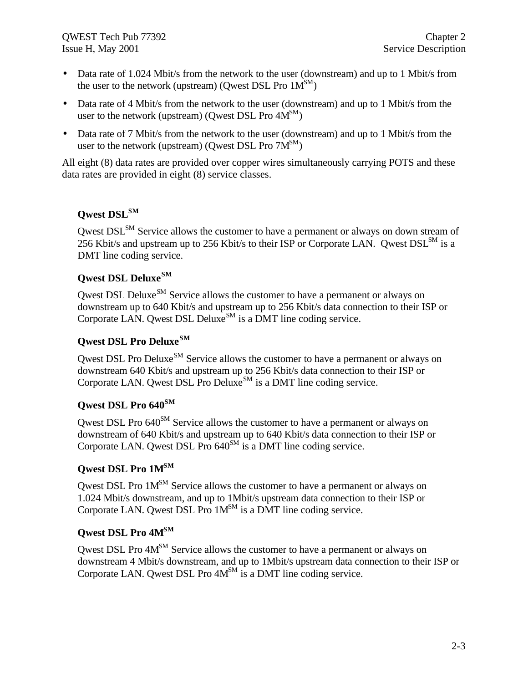- Data rate of 1.024 Mbit/s from the network to the user (downstream) and up to 1 Mbit/s from the user to the network (upstream) (Qwest DSL Pro  $1M^{SM}$ )
- Data rate of 4 Mbit/s from the network to the user (downstream) and up to 1 Mbit/s from the user to the network (upstream) (Qwest DSL Pro  $4M^{SM}$ )
- Data rate of 7 Mbit/s from the network to the user (downstream) and up to 1 Mbit/s from the user to the network (upstream) (Owest DSL Pro  $7M^{SM}$ )

All eight (8) data rates are provided over copper wires simultaneously carrying POTS and these data rates are provided in eight (8) service classes.

#### **Qwest DSLSM**

Qwest DSL<sup>SM</sup> Service allows the customer to have a permanent or always on down stream of 256 Kbit/s and upstream up to 256 Kbit/s to their ISP or Corporate LAN. Owest DSL<sup>SM</sup> is a DMT line coding service.

#### **Qwest DSL DeluxeSM**

Qwest DSL Deluxe<sup>SM</sup> Service allows the customer to have a permanent or always on downstream up to 640 Kbit/s and upstream up to 256 Kbit/s data connection to their ISP or Corporate LAN. Qwest DSL Deluxe<sup>SM</sup> is a DMT line coding service.

#### **Qwest DSL Pro DeluxeSM**

Qwest DSL Pro Deluxe<sup>SM</sup> Service allows the customer to have a permanent or always on downstream 640 Kbit/s and upstream up to 256 Kbit/s data connection to their ISP or Corporate LAN. Qwest DSL Pro Deluxe<sup>SM</sup> is a DMT line coding service.

#### **Qwest DSL Pro 640SM**

Qwest DSL Pro  $640<sup>SM</sup>$  Service allows the customer to have a permanent or always on downstream of 640 Kbit/s and upstream up to 640 Kbit/s data connection to their ISP or Corporate LAN. Qwest DSL Pro  $640^{SM}$  is a DMT line coding service.

#### **Qwest DSL Pro 1MSM**

Qwest DSL Pro 1M<sup>SM</sup> Service allows the customer to have a permanent or always on 1.024 Mbit/s downstream, and up to 1Mbit/s upstream data connection to their ISP or Corporate LAN. Qwest DSL Pro  $1M<sup>SM</sup>$  is a DMT line coding service.

#### **Qwest DSL Pro 4MSM**

Qwest DSL Pro 4M<sup>SM</sup> Service allows the customer to have a permanent or always on downstream 4 Mbit/s downstream, and up to 1Mbit/s upstream data connection to their ISP or Corporate LAN. Qwest DSL Pro  $4M<sup>SM</sup>$  is a DMT line coding service.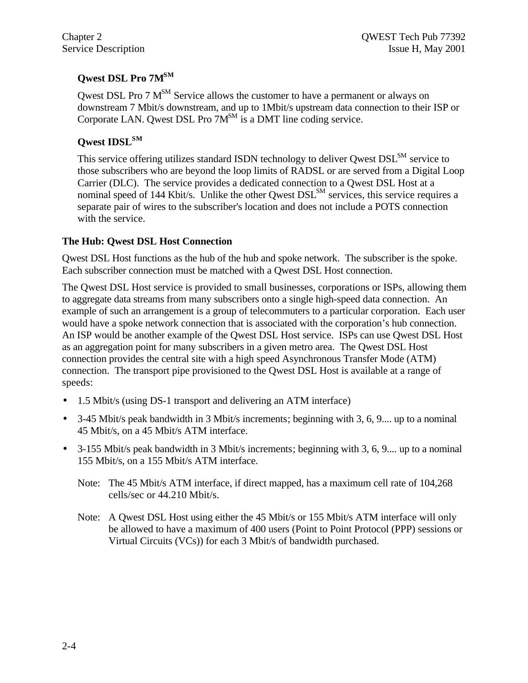#### **Qwest DSL Pro 7MSM**

Qwest DSL Pro  $7 \text{ M}^{\text{SM}}$  Service allows the customer to have a permanent or always on downstream 7 Mbit/s downstream, and up to 1Mbit/s upstream data connection to their ISP or Corporate LAN. Qwest DSL Pro  $7M<sup>SM</sup>$  is a DMT line coding service.

#### **Qwest IDSLSM**

This service offering utilizes standard ISDN technology to deliver Qwest DSL<sup>SM</sup> service to those subscribers who are beyond the loop limits of RADSL or are served from a Digital Loop Carrier (DLC). The service provides a dedicated connection to a Qwest DSL Host at a nominal speed of 144 Kbit/s. Unlike the other Qwest DSL<sup>SM</sup> services, this service requires a separate pair of wires to the subscriber's location and does not include a POTS connection with the service.

#### **The Hub: Qwest DSL Host Connection**

Qwest DSL Host functions as the hub of the hub and spoke network. The subscriber is the spoke. Each subscriber connection must be matched with a Qwest DSL Host connection.

The Qwest DSL Host service is provided to small businesses, corporations or ISPs, allowing them to aggregate data streams from many subscribers onto a single high-speed data connection. An example of such an arrangement is a group of telecommuters to a particular corporation. Each user would have a spoke network connection that is associated with the corporation's hub connection. An ISP would be another example of the Qwest DSL Host service. ISPs can use Qwest DSL Host as an aggregation point for many subscribers in a given metro area. The Qwest DSL Host connection provides the central site with a high speed Asynchronous Transfer Mode (ATM) connection. The transport pipe provisioned to the Qwest DSL Host is available at a range of speeds:

- 1.5 Mbit/s (using DS-1 transport and delivering an ATM interface)
- 3-45 Mbit/s peak bandwidth in 3 Mbit/s increments; beginning with 3, 6, 9..., up to a nominal 45 Mbit/s, on a 45 Mbit/s ATM interface.
- 3-155 Mbit/s peak bandwidth in 3 Mbit/s increments; beginning with 3, 6, 9.... up to a nominal 155 Mbit/s, on a 155 Mbit/s ATM interface.
	- Note: The 45 Mbit/s ATM interface, if direct mapped, has a maximum cell rate of 104,268 cells/sec or 44.210 Mbit/s.
	- Note: A Qwest DSL Host using either the 45 Mbit/s or 155 Mbit/s ATM interface will only be allowed to have a maximum of 400 users (Point to Point Protocol (PPP) sessions or Virtual Circuits (VCs)) for each 3 Mbit/s of bandwidth purchased.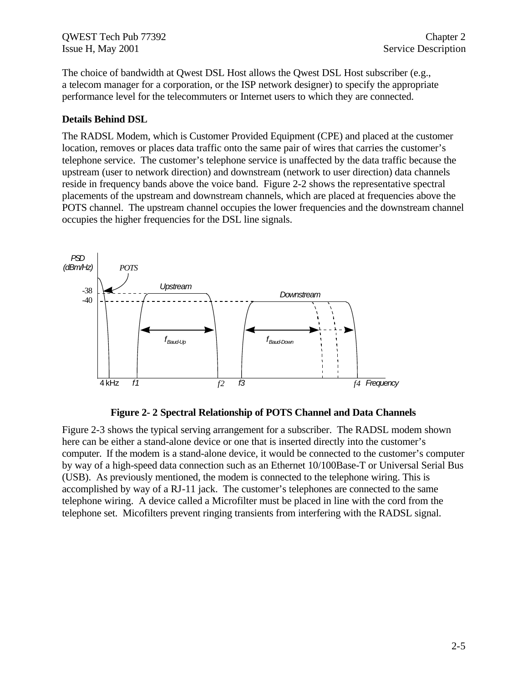QWEST Tech Pub 77392 Chapter 2 Issue H, May 2001 Service Description

The choice of bandwidth at Qwest DSL Host allows the Qwest DSL Host subscriber (e.g., a telecom manager for a corporation, or the ISP network designer) to specify the appropriate performance level for the telecommuters or Internet users to which they are connected.

#### **Details Behind DSL**

The RADSL Modem, which is Customer Provided Equipment (CPE) and placed at the customer location, removes or places data traffic onto the same pair of wires that carries the customer's telephone service. The customer's telephone service is unaffected by the data traffic because the upstream (user to network direction) and downstream (network to user direction) data channels reside in frequency bands above the voice band. Figure 2-2 shows the representative spectral placements of the upstream and downstream channels, which are placed at frequencies above the POTS channel. The upstream channel occupies the lower frequencies and the downstream channel occupies the higher frequencies for the DSL line signals.





Figure 2-3 shows the typical serving arrangement for a subscriber. The RADSL modem shown here can be either a stand-alone device or one that is inserted directly into the customer's computer. If the modem is a stand-alone device, it would be connected to the customer's computer by way of a high-speed data connection such as an Ethernet 10/100Base-T or Universal Serial Bus (USB). As previously mentioned, the modem is connected to the telephone wiring. This is accomplished by way of a RJ-11 jack. The customer's telephones are connected to the same telephone wiring. A device called a Microfilter must be placed in line with the cord from the telephone set. Micofilters prevent ringing transients from interfering with the RADSL signal.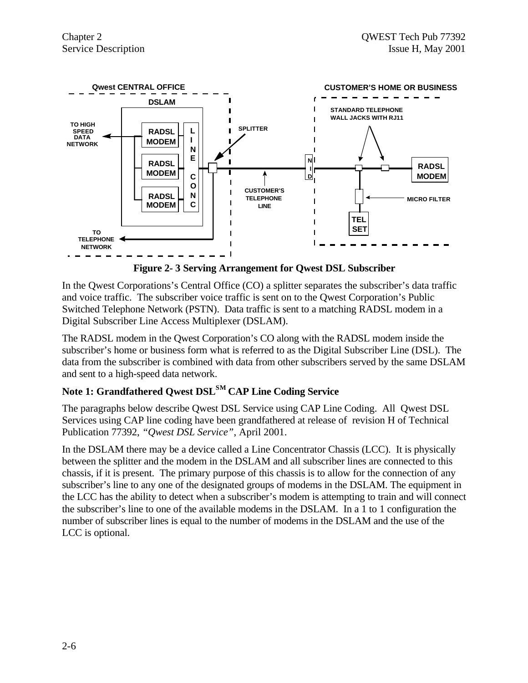

**Figure 2- 3 Serving Arrangement for Qwest DSL Subscriber**

In the Qwest Corporations's Central Office (CO) a splitter separates the subscriber's data traffic and voice traffic. The subscriber voice traffic is sent on to the Qwest Corporation's Public Switched Telephone Network (PSTN). Data traffic is sent to a matching RADSL modem in a Digital Subscriber Line Access Multiplexer (DSLAM).

The RADSL modem in the Qwest Corporation's CO along with the RADSL modem inside the subscriber's home or business form what is referred to as the Digital Subscriber Line (DSL). The data from the subscriber is combined with data from other subscribers served by the same DSLAM and sent to a high-speed data network.

#### **Note 1: Grandfathered Qwest DSLSM CAP Line Coding Service**

The paragraphs below describe Qwest DSL Service using CAP Line Coding. All Qwest DSL Services using CAP line coding have been grandfathered at release of revision H of Technical Publication 77392, *"Qwest DSL Service"*, April 2001.

In the DSLAM there may be a device called a Line Concentrator Chassis (LCC). It is physically between the splitter and the modem in the DSLAM and all subscriber lines are connected to this chassis, if it is present. The primary purpose of this chassis is to allow for the connection of any subscriber's line to any one of the designated groups of modems in the DSLAM. The equipment in the LCC has the ability to detect when a subscriber's modem is attempting to train and will connect the subscriber's line to one of the available modems in the DSLAM. In a 1 to 1 configuration the number of subscriber lines is equal to the number of modems in the DSLAM and the use of the LCC is optional.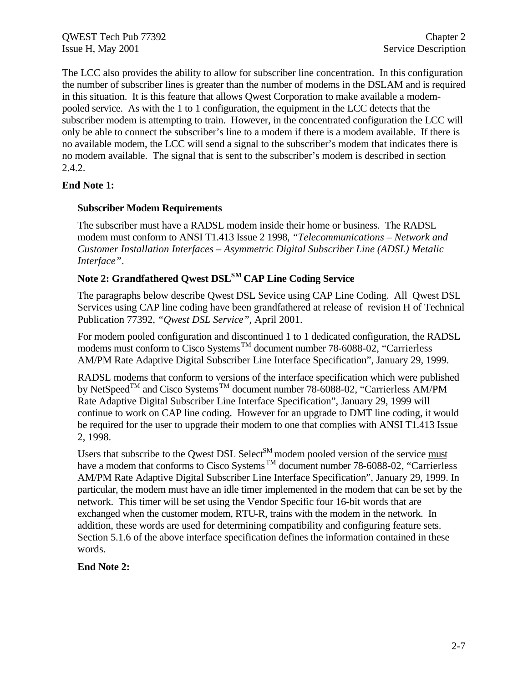QWEST Tech Pub 77392 Chapter 2 Issue H, May 2001 Service Description

The LCC also provides the ability to allow for subscriber line concentration. In this configuration the number of subscriber lines is greater than the number of modems in the DSLAM and is required in this situation. It is this feature that allows Qwest Corporation to make available a modempooled service. As with the 1 to 1 configuration, the equipment in the LCC detects that the subscriber modem is attempting to train. However, in the concentrated configuration the LCC will only be able to connect the subscriber's line to a modem if there is a modem available. If there is no available modem, the LCC will send a signal to the subscriber's modem that indicates there is no modem available. The signal that is sent to the subscriber's modem is described in section 2.4.2.

#### **End Note 1:**

#### **Subscriber Modem Requirements**

The subscriber must have a RADSL modem inside their home or business. The RADSL modem must conform to ANSI T1.413 Issue 2 1998, *"Telecommunications – Network and Customer Installation Interfaces – Asymmetric Digital Subscriber Line (ADSL) Metalic Interface"*.

#### **Note 2: Grandfathered Qwest DSLSM CAP Line Coding Service**

The paragraphs below describe Qwest DSL Sevice using CAP Line Coding. All Qwest DSL Services using CAP line coding have been grandfathered at release of revision H of Technical Publication 77392, *"Qwest DSL Service"*, April 2001.

For modem pooled configuration and discontinued 1 to 1 dedicated configuration, the RADSL modems must conform to Cisco Systems<sup>TM</sup> document number 78-6088-02, "Carrierless AM/PM Rate Adaptive Digital Subscriber Line Interface Specification", January 29, 1999.

RADSL modems that conform to versions of the interface specification which were published by NetSpeed<sup>TM</sup> and Cisco Systems<sup>TM</sup> document number 78-6088-02, "Carrierless AM/PM Rate Adaptive Digital Subscriber Line Interface Specification", January 29, 1999 will continue to work on CAP line coding. However for an upgrade to DMT line coding, it would be required for the user to upgrade their modem to one that complies with ANSI T1.413 Issue 2, 1998.

Users that subscribe to the Qwest DSL Select<sup>SM</sup> modem pooled version of the service must have a modem that conforms to Cisco Systems  $^{TM}$  document number 78-6088-02, "Carrierless AM/PM Rate Adaptive Digital Subscriber Line Interface Specification", January 29, 1999. In particular, the modem must have an idle timer implemented in the modem that can be set by the network. This timer will be set using the Vendor Specific four 16-bit words that are exchanged when the customer modem, RTU-R, trains with the modem in the network. In addition, these words are used for determining compatibility and configuring feature sets. Section 5.1.6 of the above interface specification defines the information contained in these words.

**End Note 2:**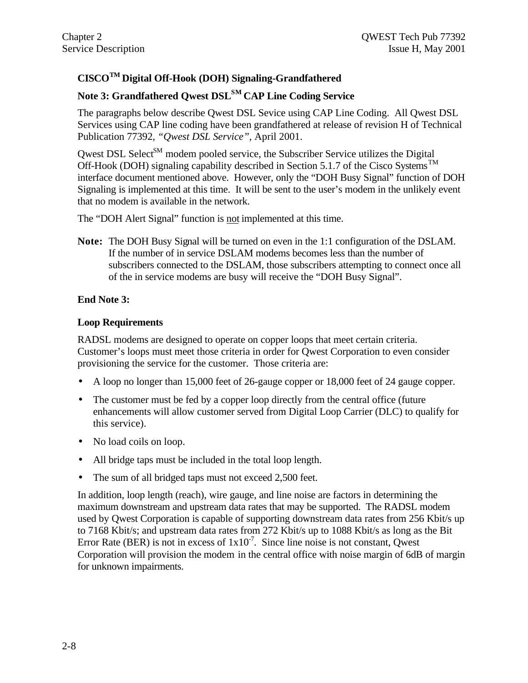#### **CISCOTM Digital Off-Hook (DOH) Signaling-Grandfathered**

#### **Note 3: Grandfathered Qwest DSLSM CAP Line Coding Service**

The paragraphs below describe Qwest DSL Sevice using CAP Line Coding. All Qwest DSL Services using CAP line coding have been grandfathered at release of revision H of Technical Publication 77392, *"Qwest DSL Service"*, April 2001.

Qwest DSL Select<sup>SM</sup> modem pooled service, the Subscriber Service utilizes the Digital Off-Hook (DOH) signaling capability described in Section 5.1.7 of the Cisco Systems<sup>TM</sup> interface document mentioned above. However, only the "DOH Busy Signal" function of DOH Signaling is implemented at this time. It will be sent to the user's modem in the unlikely event that no modem is available in the network.

The "DOH Alert Signal" function is not implemented at this time.

**Note:** The DOH Busy Signal will be turned on even in the 1:1 configuration of the DSLAM. If the number of in service DSLAM modems becomes less than the number of subscribers connected to the DSLAM, those subscribers attempting to connect once all of the in service modems are busy will receive the "DOH Busy Signal".

#### **End Note 3:**

#### **Loop Requirements**

RADSL modems are designed to operate on copper loops that meet certain criteria. Customer's loops must meet those criteria in order for Qwest Corporation to even consider provisioning the service for the customer. Those criteria are:

- A loop no longer than 15,000 feet of 26-gauge copper or 18,000 feet of 24 gauge copper.
- The customer must be fed by a copper loop directly from the central office (future enhancements will allow customer served from Digital Loop Carrier (DLC) to qualify for this service).
- No load coils on loop.
- All bridge taps must be included in the total loop length.
- The sum of all bridged taps must not exceed 2,500 feet.

In addition, loop length (reach), wire gauge, and line noise are factors in determining the maximum downstream and upstream data rates that may be supported. The RADSL modem used by Qwest Corporation is capable of supporting downstream data rates from 256 Kbit/s up to 7168 Kbit/s; and upstream data rates from 272 Kbit/s up to 1088 Kbit/s as long as the Bit Error Rate (BER) is not in excess of  $1x10<sup>-7</sup>$ . Since line noise is not constant, Qwest Corporation will provision the modem in the central office with noise margin of 6dB of margin for unknown impairments.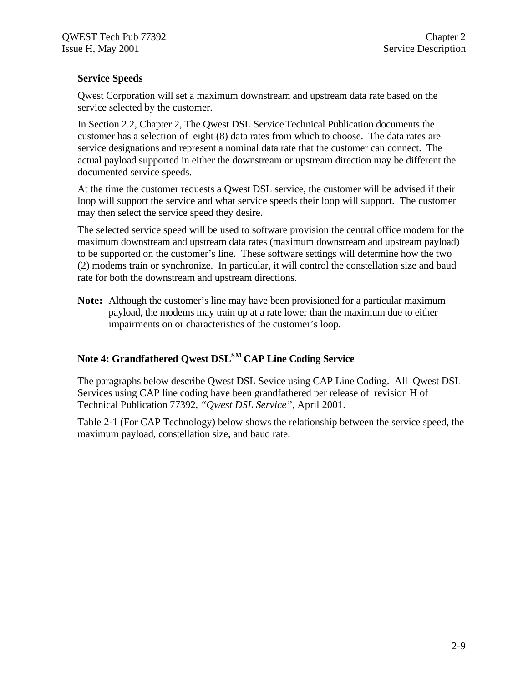#### **Service Speeds**

Qwest Corporation will set a maximum downstream and upstream data rate based on the service selected by the customer.

In Section 2.2, Chapter 2, The Owest DSL Service Technical Publication documents the customer has a selection of eight (8) data rates from which to choose. The data rates are service designations and represent a nominal data rate that the customer can connect. The actual payload supported in either the downstream or upstream direction may be different the documented service speeds.

At the time the customer requests a Qwest DSL service, the customer will be advised if their loop will support the service and what service speeds their loop will support. The customer may then select the service speed they desire.

The selected service speed will be used to software provision the central office modem for the maximum downstream and upstream data rates (maximum downstream and upstream payload) to be supported on the customer's line. These software settings will determine how the two (2) modems train or synchronize. In particular, it will control the constellation size and baud rate for both the downstream and upstream directions.

**Note:** Although the customer's line may have been provisioned for a particular maximum payload, the modems may train up at a rate lower than the maximum due to either impairments on or characteristics of the customer's loop.

#### **Note 4: Grandfathered Qwest DSLSM CAP Line Coding Service**

The paragraphs below describe Qwest DSL Sevice using CAP Line Coding. All Qwest DSL Services using CAP line coding have been grandfathered per release of revision H of Technical Publication 77392, *"Qwest DSL Service"*, April 2001.

Table 2-1 (For CAP Technology) below shows the relationship between the service speed, the maximum payload, constellation size, and baud rate.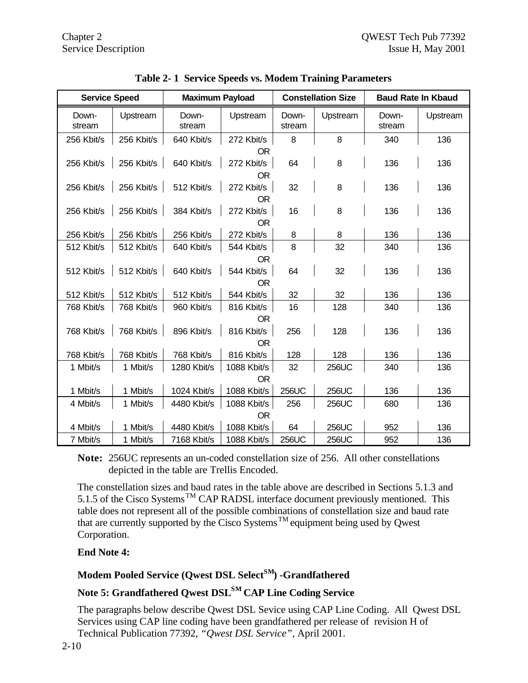| <b>Service Speed</b>                   |                    | <b>Maximum Payload</b>      |             |                 | <b>Constellation Size</b> | <b>Baud Rate In Kbaud</b> |          |  |
|----------------------------------------|--------------------|-----------------------------|-------------|-----------------|---------------------------|---------------------------|----------|--|
| Down-<br>stream                        | Upstream           | Down-<br>Upstream<br>stream |             | Down-<br>stream | Upstream                  | Down-<br>stream           | Upstream |  |
| 640 Kbit/s<br>256 Kbit/s<br>256 Kbit/s |                    | 272 Kbit/s                  | 8           | 8               | 340                       | 136                       |          |  |
|                                        |                    |                             | <b>OR</b>   |                 |                           |                           |          |  |
| 256 Kbit/s                             | 256 Kbit/s         | 640 Kbit/s                  | 272 Kbit/s  | 64              | 8                         | 136                       | 136      |  |
|                                        |                    |                             | <b>OR</b>   |                 |                           |                           |          |  |
| 256 Kbit/s                             | 256 Kbit/s $\vert$ | 512 Kbit/s                  | 272 Kbit/s  | 32              | 8                         | 136                       | 136      |  |
|                                        |                    |                             | <b>OR</b>   |                 |                           |                           |          |  |
| 256 Kbit/s                             | 256 Kbit/s $\vert$ | 384 Kbit/s                  | 272 Kbit/s  | 16              | 8                         | 136                       | 136      |  |
|                                        |                    |                             | <b>OR</b>   |                 |                           |                           |          |  |
| 256 Kbit/s                             | 256 Kbit/s         | 256 Kbit/s                  | 272 Kbit/s  | 8               | 8                         | 136                       | 136      |  |
| 512 Kbit/s                             | 512 Kbit/s         | 640 Kbit/s                  | 544 Kbit/s  | 8               | 32                        | 340                       | 136      |  |
|                                        |                    |                             | <b>OR</b>   |                 |                           |                           |          |  |
| 512 Kbit/s                             | 512 Kbit/s         | 640 Kbit/s                  | 544 Kbit/s  | 64              | 32                        | 136                       | 136      |  |
|                                        |                    |                             | <b>OR</b>   |                 |                           |                           |          |  |
| 512 Kbit/s                             | 512 Kbit/s         | 512 Kbit/s                  | 544 Kbit/s  | 32              | 32                        | 136                       | 136      |  |
| 768 Kbit/s                             | 768 Kbit/s         | 960 Kbit/s                  | 816 Kbit/s  | 16              | 128                       | 340                       | 136      |  |
|                                        |                    |                             | <b>OR</b>   |                 |                           |                           |          |  |
| 768 Kbit/s                             | 768 Kbit/s         | 896 Kbit/s                  | 816 Kbit/s  | 256             | 128                       | 136                       | 136      |  |
|                                        |                    |                             | <b>OR</b>   |                 |                           |                           |          |  |
| 768 Kbit/s                             | 768 Kbit/s         | 768 Kbit/s                  | 816 Kbit/s  | 128             | 128                       | 136                       | 136      |  |
| 1 Mbit/s                               | 1 Mbit/s           | 1280 Kbit/s                 | 1088 Kbit/s | 32              | 256UC                     | 340                       | 136      |  |
|                                        |                    |                             | <b>OR</b>   |                 |                           |                           |          |  |
| 1 Mbit/s                               | 1 Mbit/s           | 1024 Kbit/s                 | 1088 Kbit/s | <b>256UC</b>    | <b>256UC</b>              | 136                       | 136      |  |
| 4 Mbit/s                               | 1 Mbit/s           | 4480 Kbit/s                 | 1088 Kbit/s | 256             | <b>256UC</b>              | 680                       | 136      |  |
|                                        |                    |                             | <b>OR</b>   |                 |                           |                           |          |  |
| 4 Mbit/s                               | 1 Mbit/s           | 4480 Kbit/s                 | 1088 Kbit/s | 64              | 256UC                     | 952                       | 136      |  |
| 7 Mbit/s                               | 1 Mbit/s           | 7168 Kbit/s                 | 1088 Kbit/s | <b>256UC</b>    | <b>256UC</b>              | 952                       | 136      |  |

**Table 2- 1 Service Speeds vs. Modem Training Parameters**

**Note:** 256UC represents an un-coded constellation size of 256. All other constellations depicted in the table are Trellis Encoded.

The constellation sizes and baud rates in the table above are described in Sections 5.1.3 and 5.1.5 of the Cisco Systems<sup>TM</sup> CAP RADSL interface document previously mentioned. This table does not represent all of the possible combinations of constellation size and baud rate that are currently supported by the Cisco Systems<sup>TM</sup> equipment being used by Qwest Corporation.

#### **End Note 4:**

#### **Modem Pooled Service (Qwest DSL SelectSM) -Grandfathered**

#### **Note 5: Grandfathered Qwest DSLSM CAP Line Coding Service**

The paragraphs below describe Qwest DSL Sevice using CAP Line Coding. All Qwest DSL Services using CAP line coding have been grandfathered per release of revision H of Technical Publication 77392, *"Qwest DSL Service"*, April 2001.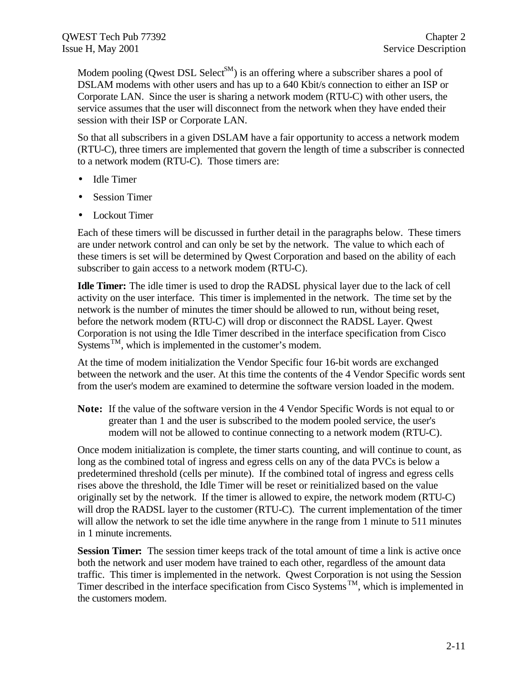Modem pooling (Qwest DSL Select<sup>SM</sup>) is an offering where a subscriber shares a pool of DSLAM modems with other users and has up to a 640 Kbit/s connection to either an ISP or Corporate LAN. Since the user is sharing a network modem (RTU-C) with other users, the service assumes that the user will disconnect from the network when they have ended their session with their ISP or Corporate LAN.

So that all subscribers in a given DSLAM have a fair opportunity to access a network modem (RTU-C), three timers are implemented that govern the length of time a subscriber is connected to a network modem (RTU-C). Those timers are:

- Idle Timer
- Session Timer
- Lockout Timer

Each of these timers will be discussed in further detail in the paragraphs below. These timers are under network control and can only be set by the network. The value to which each of these timers is set will be determined by Qwest Corporation and based on the ability of each subscriber to gain access to a network modem (RTU-C).

**Idle Timer:** The idle timer is used to drop the RADSL physical layer due to the lack of cell activity on the user interface. This timer is implemented in the network. The time set by the network is the number of minutes the timer should be allowed to run, without being reset, before the network modem (RTU-C) will drop or disconnect the RADSL Layer. Qwest Corporation is not using the Idle Timer described in the interface specification from Cisco Systems<sup>TM</sup>, which is implemented in the customer's modem.

At the time of modem initialization the Vendor Specific four 16-bit words are exchanged between the network and the user. At this time the contents of the 4 Vendor Specific words sent from the user's modem are examined to determine the software version loaded in the modem.

**Note:** If the value of the software version in the 4 Vendor Specific Words is not equal to or greater than 1 and the user is subscribed to the modem pooled service, the user's modem will not be allowed to continue connecting to a network modem (RTU-C).

Once modem initialization is complete, the timer starts counting, and will continue to count, as long as the combined total of ingress and egress cells on any of the data PVCs is below a predetermined threshold (cells per minute). If the combined total of ingress and egress cells rises above the threshold, the Idle Timer will be reset or reinitialized based on the value originally set by the network. If the timer is allowed to expire, the network modem (RTU-C) will drop the RADSL layer to the customer (RTU-C). The current implementation of the timer will allow the network to set the idle time anywhere in the range from 1 minute to 511 minutes in 1 minute increments.

**Session Timer:** The session timer keeps track of the total amount of time a link is active once both the network and user modem have trained to each other, regardless of the amount data traffic. This timer is implemented in the network. Qwest Corporation is not using the Session Timer described in the interface specification from Cisco Systems<sup>TM</sup>, which is implemented in the customers modem.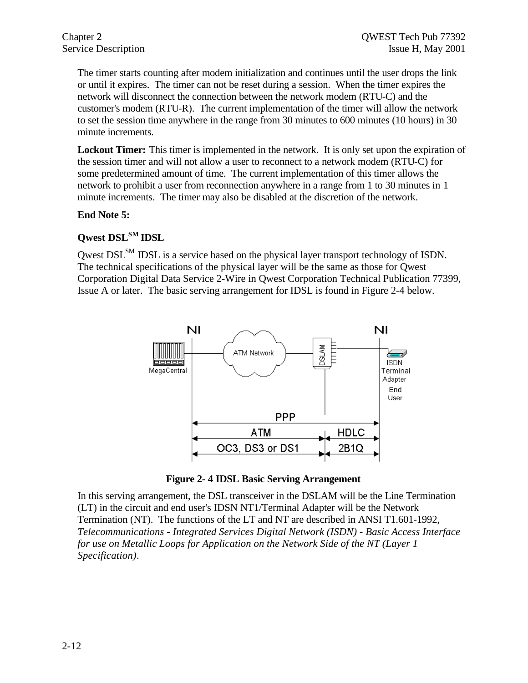The timer starts counting after modem initialization and continues until the user drops the link or until it expires. The timer can not be reset during a session. When the timer expires the network will disconnect the connection between the network modem (RTU-C) and the customer's modem (RTU-R). The current implementation of the timer will allow the network to set the session time anywhere in the range from 30 minutes to 600 minutes (10 hours) in 30 minute increments.

**Lockout Timer:** This timer is implemented in the network. It is only set upon the expiration of the session timer and will not allow a user to reconnect to a network modem (RTU-C) for some predetermined amount of time. The current implementation of this timer allows the network to prohibit a user from reconnection anywhere in a range from 1 to 30 minutes in 1 minute increments. The timer may also be disabled at the discretion of the network.

#### **End Note 5:**

#### **Qwest DSLSM IDSL**

Qwest DSL<sup>SM</sup> IDSL is a service based on the physical layer transport technology of ISDN. The technical specifications of the physical layer will be the same as those for Qwest Corporation Digital Data Service 2-Wire in Qwest Corporation Technical Publication 77399, Issue A or later. The basic serving arrangement for IDSL is found in Figure 2-4 below.





In this serving arrangement, the DSL transceiver in the DSLAM will be the Line Termination (LT) in the circuit and end user's IDSN NT1/Terminal Adapter will be the Network Termination (NT). The functions of the LT and NT are described in ANSI T1.601-1992, *Telecommunications - Integrated Services Digital Network (ISDN) - Basic Access Interface for use on Metallic Loops for Application on the Network Side of the NT (Layer 1 Specification)*.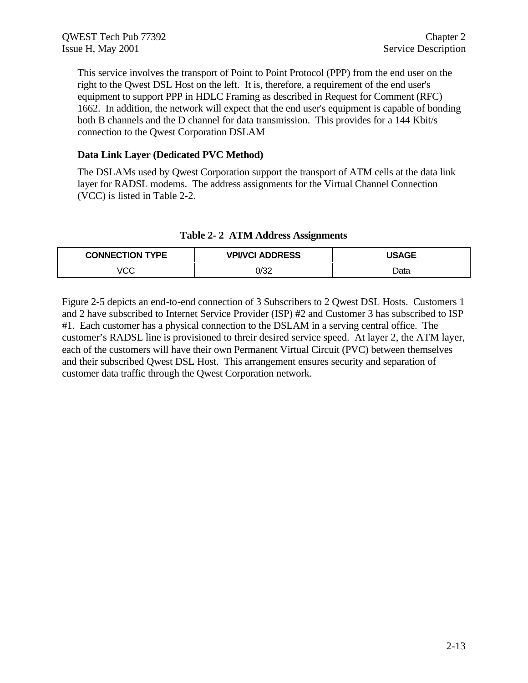This service involves the transport of Point to Point Protocol (PPP) from the end user on the right to the Qwest DSL Host on the left. It is, therefore, a requirement of the end user's equipment to support PPP in HDLC Framing as described in Request for Comment (RFC) 1662. In addition, the network will expect that the end user's equipment is capable of bonding both B channels and the D channel for data transmission. This provides for a 144 Kbit/s connection to the Qwest Corporation DSLAM

#### **Data Link Layer (Dedicated PVC Method)**

The DSLAMs used by Qwest Corporation support the transport of ATM cells at the data link layer for RADSL modems. The address assignments for the Virtual Channel Connection (VCC) is listed in Table 2-2.

| $14000 = 211111111444160011001611111001601$ |                        |              |  |  |  |  |  |  |
|---------------------------------------------|------------------------|--------------|--|--|--|--|--|--|
| <b>CONNECTION TYPE</b>                      | <b>VPI/VCI ADDRESS</b> | <b>USAGE</b> |  |  |  |  |  |  |
| VCC                                         | 0/32                   | Data         |  |  |  |  |  |  |

**Table 2- 2 ATM Address Assignments**

Figure 2-5 depicts an end-to-end connection of 3 Subscribers to 2 Qwest DSL Hosts. Customers 1 and 2 have subscribed to Internet Service Provider (ISP) #2 and Customer 3 has subscribed to ISP #1. Each customer has a physical connection to the DSLAM in a serving central office. The customer's RADSL line is provisioned to threir desired service speed. At layer 2, the ATM layer, each of the customers will have their own Permanent Virtual Circuit (PVC) between themselves and their subscribed Qwest DSL Host. This arrangement ensures security and separation of customer data traffic through the Qwest Corporation network.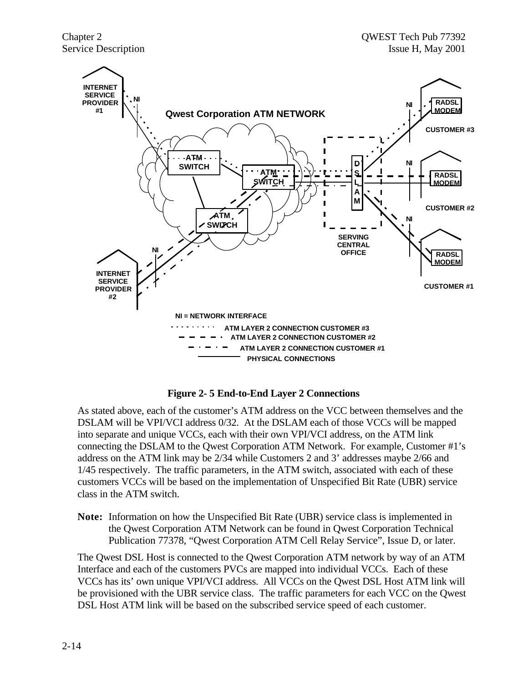

**Figure 2- 5 End-to-End Layer 2 Connections**

As stated above, each of the customer's ATM address on the VCC between themselves and the DSLAM will be VPI/VCI address 0/32. At the DSLAM each of those VCCs will be mapped into separate and unique VCCs, each with their own VPI/VCI address, on the ATM link connecting the DSLAM to the Qwest Corporation ATM Network. For example, Customer #1's address on the ATM link may be 2/34 while Customers 2 and 3' addresses maybe 2/66 and 1/45 respectively. The traffic parameters, in the ATM switch, associated with each of these customers VCCs will be based on the implementation of Unspecified Bit Rate (UBR) service class in the ATM switch.

**Note:** Information on how the Unspecified Bit Rate (UBR) service class is implemented in the Qwest Corporation ATM Network can be found in Qwest Corporation Technical Publication 77378, "Qwest Corporation ATM Cell Relay Service", Issue D, or later.

The Qwest DSL Host is connected to the Qwest Corporation ATM network by way of an ATM Interface and each of the customers PVCs are mapped into individual VCCs. Each of these VCCs has its' own unique VPI/VCI address. All VCCs on the Qwest DSL Host ATM link will be provisioned with the UBR service class. The traffic parameters for each VCC on the Qwest DSL Host ATM link will be based on the subscribed service speed of each customer.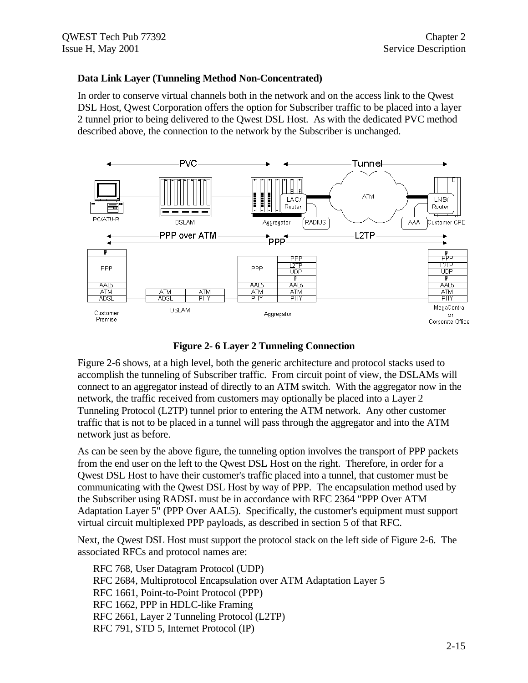#### **Data Link Layer (Tunneling Method Non-Concentrated)**

In order to conserve virtual channels both in the network and on the access link to the Qwest DSL Host, Qwest Corporation offers the option for Subscriber traffic to be placed into a layer 2 tunnel prior to being delivered to the Qwest DSL Host. As with the dedicated PVC method described above, the connection to the network by the Subscriber is unchanged.





Figure 2-6 shows, at a high level, both the generic architecture and protocol stacks used to accomplish the tunneling of Subscriber traffic. From circuit point of view, the DSLAMs will connect to an aggregator instead of directly to an ATM switch. With the aggregator now in the network, the traffic received from customers may optionally be placed into a Layer 2 Tunneling Protocol (L2TP) tunnel prior to entering the ATM network. Any other customer traffic that is not to be placed in a tunnel will pass through the aggregator and into the ATM network just as before.

As can be seen by the above figure, the tunneling option involves the transport of PPP packets from the end user on the left to the Qwest DSL Host on the right. Therefore, in order for a Qwest DSL Host to have their customer's traffic placed into a tunnel, that customer must be communicating with the Qwest DSL Host by way of PPP. The encapsulation method used by the Subscriber using RADSL must be in accordance with RFC 2364 "PPP Over ATM Adaptation Layer 5" (PPP Over AAL5). Specifically, the customer's equipment must support virtual circuit multiplexed PPP payloads, as described in section 5 of that RFC.

Next, the Qwest DSL Host must support the protocol stack on the left side of Figure 2-6. The associated RFCs and protocol names are:

RFC 768, User Datagram Protocol (UDP) RFC 2684, Multiprotocol Encapsulation over ATM Adaptation Layer 5 RFC 1661, Point-to-Point Protocol (PPP) RFC 1662, PPP in HDLC-like Framing RFC 2661, Layer 2 Tunneling Protocol (L2TP) RFC 791, STD 5, Internet Protocol (IP)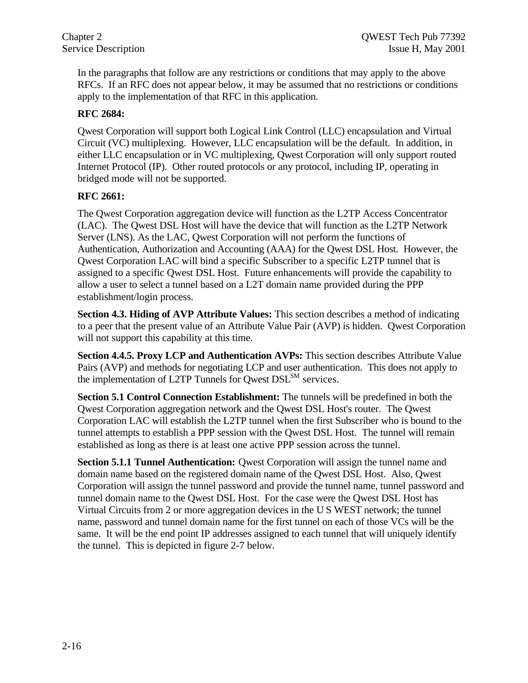In the paragraphs that follow are any restrictions or conditions that may apply to the above RFCs. If an RFC does not appear below, it may be assumed that no restrictions or conditions apply to the implementation of that RFC in this application.

#### **RFC 2684:**

Qwest Corporation will support both Logical Link Control (LLC) encapsulation and Virtual Circuit (VC) multiplexing. However, LLC encapsulation will be the default. In addition, in either LLC encapsulation or in VC multiplexing, Qwest Corporation will only support routed Internet Protocol (IP). Other routed protocols or any protocol, including IP, operating in bridged mode will not be supported.

#### **RFC 2661:**

The Qwest Corporation aggregation device will function as the L2TP Access Concentrator (LAC). The Qwest DSL Host will have the device that will function as the L2TP Network Server (LNS). As the LAC, Qwest Corporation will not perform the functions of Authentication, Authorization and Accounting (AAA) for the Qwest DSL Host. However, the Qwest Corporation LAC will bind a specific Subscriber to a specific L2TP tunnel that is assigned to a specific Qwest DSL Host. Future enhancements will provide the capability to allow a user to select a tunnel based on a L2T domain name provided during the PPP establishment/login process.

**Section 4.3. Hiding of AVP Attribute Values:** This section describes a method of indicating to a peer that the present value of an Attribute Value Pair (AVP) is hidden. Qwest Corporation will not support this capability at this time.

**Section 4.4.5. Proxy LCP and Authentication AVPs:** This section describes Attribute Value Pairs (AVP) and methods for negotiating LCP and user authentication. This does not apply to the implementation of L2TP Tunnels for Qwest  $DSL<sup>SM</sup>$  services.

**Section 5.1 Control Connection Establishment:** The tunnels will be predefined in both the Qwest Corporation aggregation network and the Qwest DSL Host's router. The Qwest Corporation LAC will establish the L2TP tunnel when the first Subscriber who is bound to the tunnel attempts to establish a PPP session with the Qwest DSL Host. The tunnel will remain established as long as there is at least one active PPP session across the tunnel.

**Section 5.1.1 Tunnel Authentication:** Qwest Corporation will assign the tunnel name and domain name based on the registered domain name of the Qwest DSL Host. Also, Qwest Corporation will assign the tunnel password and provide the tunnel name, tunnel password and tunnel domain name to the Qwest DSL Host. For the case were the Qwest DSL Host has Virtual Circuits from 2 or more aggregation devices in the U S WEST network; the tunnel name, password and tunnel domain name for the first tunnel on each of those VCs will be the same. It will be the end point IP addresses assigned to each tunnel that will uniquely identify the tunnel. This is depicted in figure 2-7 below.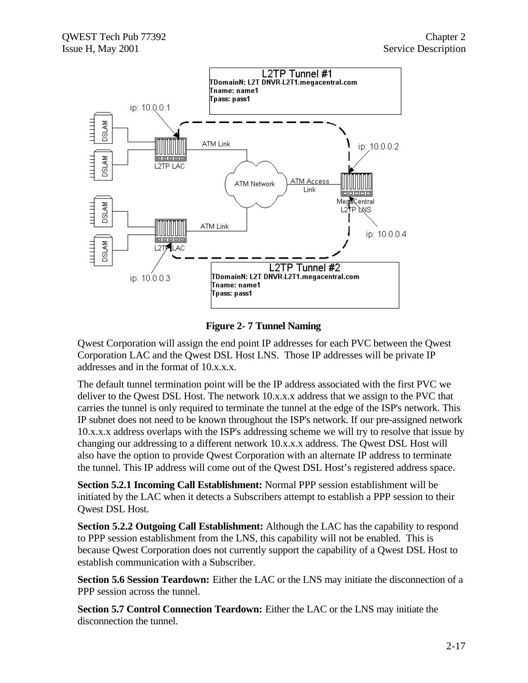

**Figure 2- 7 Tunnel Naming**

Qwest Corporation will assign the end point IP addresses for each PVC between the Qwest Corporation LAC and the Qwest DSL Host LNS. Those IP addresses will be private IP addresses and in the format of 10.x.x.x.

The default tunnel termination point will be the IP address associated with the first PVC we deliver to the Qwest DSL Host. The network 10.x.x.x address that we assign to the PVC that carries the tunnel is only required to terminate the tunnel at the edge of the ISP's network. This IP subnet does not need to be known throughout the ISP's network. If our pre-assigned network 10.x.x.x address overlaps with the ISP's addressing scheme we will try to resolve that issue by changing our addressing to a different network 10.x.x.x address. The Qwest DSL Host will also have the option to provide Qwest Corporation with an alternate IP address to terminate the tunnel. This IP address will come out of the Qwest DSL Host's registered address space.

**Section 5.2.1 Incoming Call Establishment:** Normal PPP session establishment will be initiated by the LAC when it detects a Subscribers attempt to establish a PPP session to their Qwest DSL Host.

**Section 5.2.2 Outgoing Call Establishment:** Although the LAC has the capability to respond to PPP session establishment from the LNS, this capability will not be enabled. This is because Qwest Corporation does not currently support the capability of a Qwest DSL Host to establish communication with a Subscriber.

**Section 5.6 Session Teardown:** Either the LAC or the LNS may initiate the disconnection of a PPP session across the tunnel.

**Section 5.7 Control Connection Teardown:** Either the LAC or the LNS may initiate the disconnection the tunnel.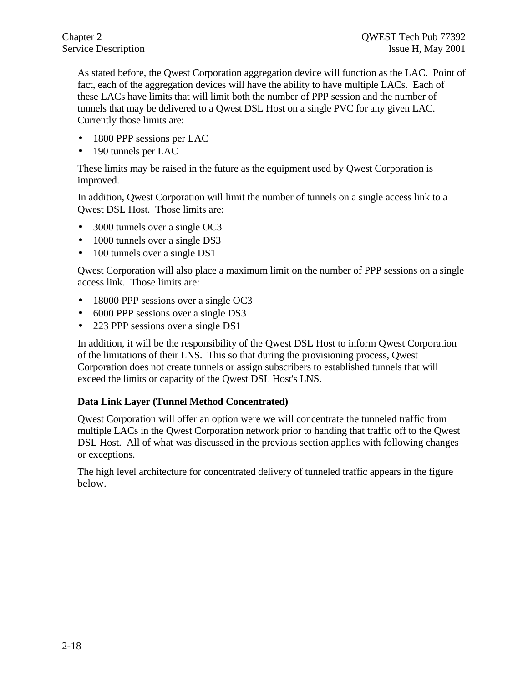As stated before, the Qwest Corporation aggregation device will function as the LAC. Point of fact, each of the aggregation devices will have the ability to have multiple LACs. Each of these LACs have limits that will limit both the number of PPP session and the number of tunnels that may be delivered to a Qwest DSL Host on a single PVC for any given LAC. Currently those limits are:

- 1800 PPP sessions per LAC
- 190 tunnels per LAC

These limits may be raised in the future as the equipment used by Qwest Corporation is improved.

In addition, Qwest Corporation will limit the number of tunnels on a single access link to a Qwest DSL Host. Those limits are:

- 3000 tunnels over a single OC3
- 1000 tunnels over a single DS3
- 100 tunnels over a single DS1

Qwest Corporation will also place a maximum limit on the number of PPP sessions on a single access link. Those limits are:

- 18000 PPP sessions over a single OC3
- 6000 PPP sessions over a single DS3
- 223 PPP sessions over a single DS1

In addition, it will be the responsibility of the Qwest DSL Host to inform Qwest Corporation of the limitations of their LNS. This so that during the provisioning process, Qwest Corporation does not create tunnels or assign subscribers to established tunnels that will exceed the limits or capacity of the Qwest DSL Host's LNS.

#### **Data Link Layer (Tunnel Method Concentrated)**

Qwest Corporation will offer an option were we will concentrate the tunneled traffic from multiple LACs in the Qwest Corporation network prior to handing that traffic off to the Qwest DSL Host. All of what was discussed in the previous section applies with following changes or exceptions.

The high level architecture for concentrated delivery of tunneled traffic appears in the figure below.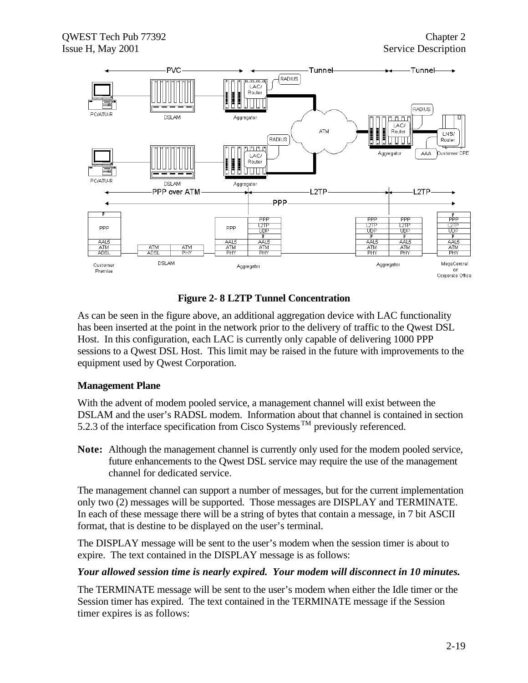

**Figure 2- 8 L2TP Tunnel Concentration**

As can be seen in the figure above, an additional aggregation device with LAC functionality has been inserted at the point in the network prior to the delivery of traffic to the Qwest DSL Host. In this configuration, each LAC is currently only capable of delivering 1000 PPP sessions to a Qwest DSL Host. This limit may be raised in the future with improvements to the equipment used by Qwest Corporation.

#### **Management Plane**

With the advent of modem pooled service, a management channel will exist between the DSLAM and the user's RADSL modem. Information about that channel is contained in section 5.2.3 of the interface specification from Cisco Systems<sup>TM</sup> previously referenced.

**Note:** Although the management channel is currently only used for the modem pooled service, future enhancements to the Qwest DSL service may require the use of the management channel for dedicated service.

The management channel can support a number of messages, but for the current implementation only two (2) messages will be supported. Those messages are DISPLAY and TERMINATE. In each of these message there will be a string of bytes that contain a message, in 7 bit ASCII format, that is destine to be displayed on the user's terminal.

The DISPLAY message will be sent to the user's modem when the session timer is about to expire. The text contained in the DISPLAY message is as follows:

#### *Your allowed session time is nearly expired. Your modem will disconnect in 10 minutes.*

The TERMINATE message will be sent to the user's modem when either the Idle timer or the Session timer has expired. The text contained in the TERMINATE message if the Session timer expires is as follows: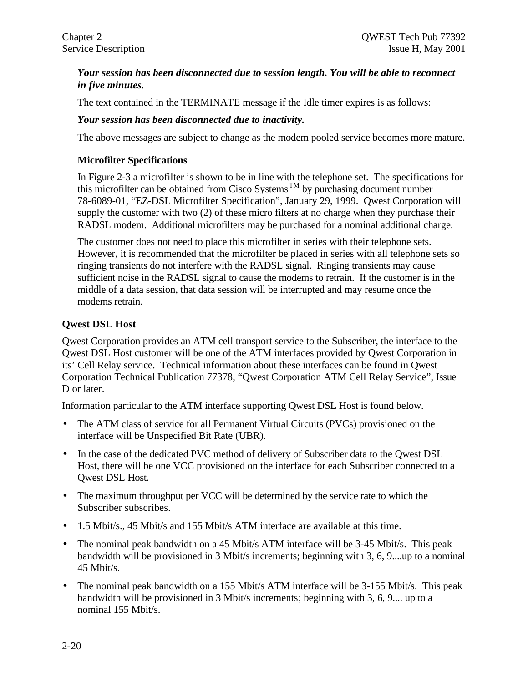#### *Your session has been disconnected due to session length. You will be able to reconnect in five minutes.*

The text contained in the TERMINATE message if the Idle timer expires is as follows:

#### *Your session has been disconnected due to inactivity.*

The above messages are subject to change as the modem pooled service becomes more mature.

#### **Microfilter Specifications**

In Figure 2-3 a microfilter is shown to be in line with the telephone set. The specifications for this microfilter can be obtained from Cisco Systems<sup>TM</sup> by purchasing document number 78-6089-01, "EZ-DSL Microfilter Specification", January 29, 1999. Qwest Corporation will supply the customer with two (2) of these micro filters at no charge when they purchase their RADSL modem. Additional microfilters may be purchased for a nominal additional charge.

The customer does not need to place this microfilter in series with their telephone sets. However, it is recommended that the microfilter be placed in series with all telephone sets so ringing transients do not interfere with the RADSL signal. Ringing transients may cause sufficient noise in the RADSL signal to cause the modems to retrain. If the customer is in the middle of a data session, that data session will be interrupted and may resume once the modems retrain.

#### **Qwest DSL Host**

Qwest Corporation provides an ATM cell transport service to the Subscriber, the interface to the Qwest DSL Host customer will be one of the ATM interfaces provided by Qwest Corporation in its' Cell Relay service. Technical information about these interfaces can be found in Qwest Corporation Technical Publication 77378, "Qwest Corporation ATM Cell Relay Service", Issue D or later.

Information particular to the ATM interface supporting Qwest DSL Host is found below.

- The ATM class of service for all Permanent Virtual Circuits (PVCs) provisioned on the interface will be Unspecified Bit Rate (UBR).
- In the case of the dedicated PVC method of delivery of Subscriber data to the Qwest DSL Host, there will be one VCC provisioned on the interface for each Subscriber connected to a Qwest DSL Host.
- The maximum throughput per VCC will be determined by the service rate to which the Subscriber subscribes.
- 1.5 Mbit/s., 45 Mbit/s and 155 Mbit/s ATM interface are available at this time.
- The nominal peak bandwidth on a 45 Mbit/s ATM interface will be 3-45 Mbit/s. This peak bandwidth will be provisioned in 3 Mbit/s increments; beginning with 3, 6, 9....up to a nominal 45 Mbit/s.
- The nominal peak bandwidth on a 155 Mbit/s ATM interface will be 3-155 Mbit/s. This peak bandwidth will be provisioned in 3 Mbit/s increments; beginning with 3, 6, 9.... up to a nominal 155 Mbit/s.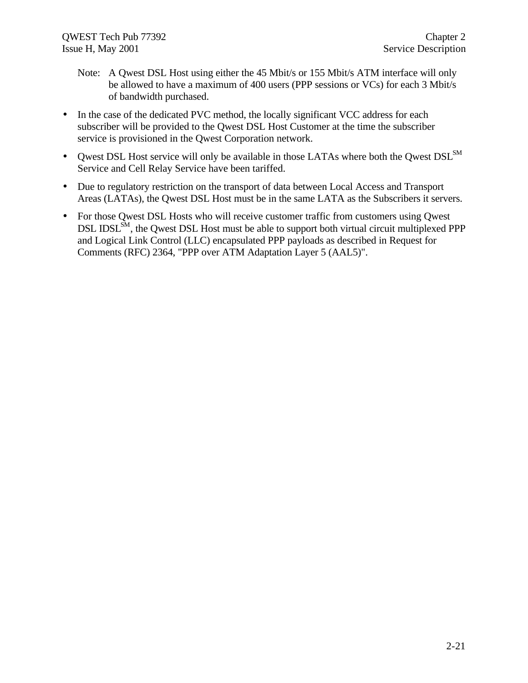- Note: A Qwest DSL Host using either the 45 Mbit/s or 155 Mbit/s ATM interface will only be allowed to have a maximum of 400 users (PPP sessions or VCs) for each 3 Mbit/s of bandwidth purchased.
- In the case of the dedicated PVC method, the locally significant VCC address for each subscriber will be provided to the Qwest DSL Host Customer at the time the subscriber service is provisioned in the Qwest Corporation network.
- Qwest DSL Host service will only be available in those LATAs where both the Qwest  $DSL<sup>SM</sup>$ Service and Cell Relay Service have been tariffed.
- Due to regulatory restriction on the transport of data between Local Access and Transport Areas (LATAs), the Qwest DSL Host must be in the same LATA as the Subscribers it servers.
- For those Qwest DSL Hosts who will receive customer traffic from customers using Qwest  $DSL$  IDSL<sup>SM</sup>, the Owest DSL Host must be able to support both virtual circuit multiplexed PPP and Logical Link Control (LLC) encapsulated PPP payloads as described in Request for Comments (RFC) 2364, "PPP over ATM Adaptation Layer 5 (AAL5)".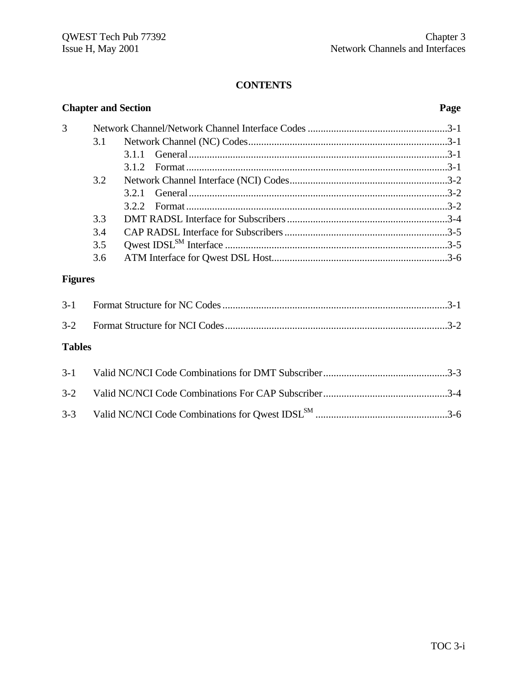#### **CONTENTS**

|                |     | <b>Chapter and Section</b> | Page |
|----------------|-----|----------------------------|------|
| 3              |     |                            |      |
|                | 3.1 |                            |      |
|                |     | 3.1.1                      |      |
|                |     | 3.1.2                      |      |
|                | 3.2 |                            |      |
|                |     | 3.2.1                      |      |
|                |     | 3.2.2                      |      |
|                | 3.3 |                            |      |
|                | 3.4 |                            |      |
|                | 3.5 |                            |      |
|                | 3.6 |                            |      |
| <b>Figures</b> |     |                            |      |
| $3-1$          |     |                            |      |
| $3 - 2$        |     |                            |      |
| <b>Tables</b>  |     |                            |      |
| $3 - 1$        |     |                            |      |
| $3 - 2$        |     |                            |      |
| $3 - 3$        |     |                            |      |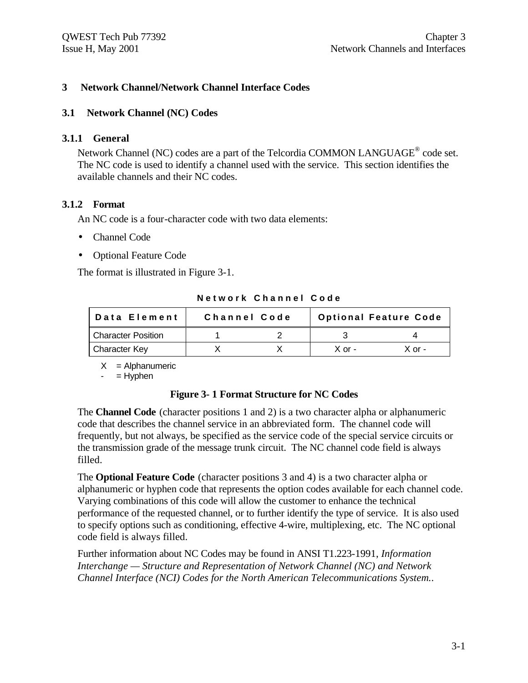#### **3 Network Channel/Network Channel Interface Codes**

#### **3.1 Network Channel (NC) Codes**

#### **3.1.1 General**

Network Channel (NC) codes are a part of the Telcordia COMMON LANGUAGE<sup>®</sup> code set. The NC code is used to identify a channel used with the service. This section identifies the available channels and their NC codes.

#### **3.1.2 Format**

An NC code is a four-character code with two data elements:

- Channel Code
- Optional Feature Code

The format is illustrated in Figure 3-1.

**Network Channel Code**

| Data Element              | <b>Channel Code</b> |            | <b>Optional Feature Code</b> |
|---------------------------|---------------------|------------|------------------------------|
| <b>Character Position</b> |                     |            |                              |
| <b>Character Key</b>      |                     | $X$ or $-$ | $X$ or -                     |

 $X =$  Alphanumeric

 $-$  = Hyphen

#### **Figure 3- 1 Format Structure for NC Codes**

The **Channel Code** (character positions 1 and 2) is a two character alpha or alphanumeric code that describes the channel service in an abbreviated form. The channel code will frequently, but not always, be specified as the service code of the special service circuits or the transmission grade of the message trunk circuit. The NC channel code field is always filled.

The **Optional Feature Code** (character positions 3 and 4) is a two character alpha or alphanumeric or hyphen code that represents the option codes available for each channel code. Varying combinations of this code will allow the customer to enhance the technical performance of the requested channel, or to further identify the type of service. It is also used to specify options such as conditioning, effective 4-wire, multiplexing, etc. The NC optional code field is always filled.

Further information about NC Codes may be found in ANSI T1.223-1991, *Information Interchange — Structure and Representation of Network Channel (NC) and Network Channel Interface (NCI) Codes for the North American Telecommunications System.*.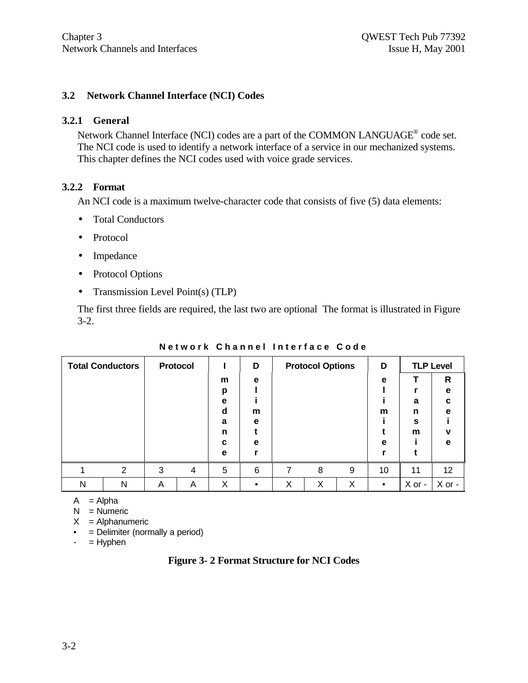#### **3.2 Network Channel Interface (NCI) Codes**

#### **3.2.1 General**

Network Channel Interface (NCI) codes are a part of the COMMON LANGUAGE<sup>®</sup> code set. The NCI code is used to identify a network interface of a service in our mechanized systems. This chapter defines the NCI codes used with voice grade services.

#### **3.2.2 Format**

An NCI code is a maximum twelve-character code that consists of five (5) data elements:

- Total Conductors
- Protocol
- Impedance
- Protocol Options
- Transmission Level Point(s) (TLP)

The first three fields are required, the last two are optional The format is illustrated in Figure 3-2.

| <b>Total Conductors</b> |   | Protocol |   |   | D |   | <b>Protocol Options</b> |   | D         |              | <b>TLP Level</b> |
|-------------------------|---|----------|---|---|---|---|-------------------------|---|-----------|--------------|------------------|
|                         |   |          |   | m | e |   |                         |   | e         |              | R                |
|                         |   |          |   | p |   |   |                         |   |           |              | е                |
|                         |   |          |   | е |   |   |                         |   |           | a            | C                |
|                         |   |          |   | d | m |   |                         |   | m         | n            | e                |
|                         |   |          |   | a | e |   |                         |   |           | $\mathbf{s}$ |                  |
|                         |   |          |   | n |   |   |                         |   |           | m            | v                |
|                         |   |          |   | C | е |   |                         |   | e         |              | e                |
|                         |   |          |   | e |   |   |                         |   |           |              |                  |
|                         | 2 | 3        | 4 | 5 | 6 | 7 | 8                       | 9 | 10        | 11           | 12 <sup>2</sup>  |
| Ν                       | N | A        | Α | Χ |   | X | X                       | X | $\bullet$ | X or -       | X or -           |

**Network Channel Interface Code**

 $A = Alpha$ 

 $N =$  Numeric

 $X =$  Alphanumeric

 $\bullet$  = Delimiter (normally a period)

 $-$  = Hyphen

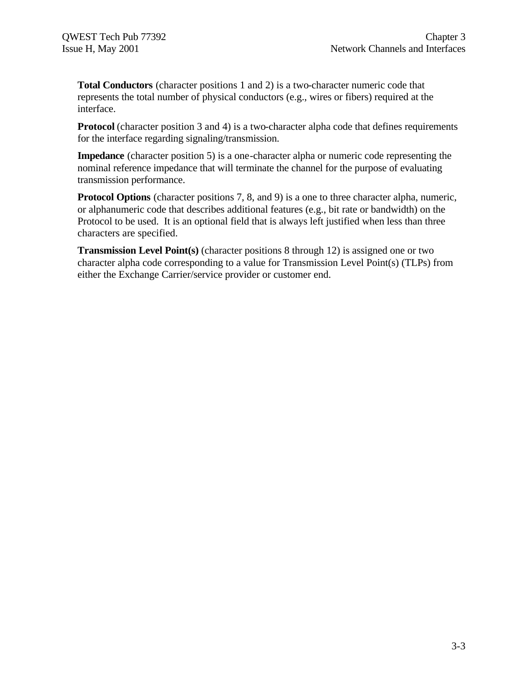**Total Conductors** (character positions 1 and 2) is a two-character numeric code that represents the total number of physical conductors (e.g., wires or fibers) required at the interface.

**Protocol** (character position 3 and 4) is a two-character alpha code that defines requirements for the interface regarding signaling/transmission.

**Impedance** (character position 5) is a one-character alpha or numeric code representing the nominal reference impedance that will terminate the channel for the purpose of evaluating transmission performance.

**Protocol Options** (character positions 7, 8, and 9) is a one to three character alpha, numeric, or alphanumeric code that describes additional features (e.g., bit rate or bandwidth) on the Protocol to be used. It is an optional field that is always left justified when less than three characters are specified.

**Transmission Level Point(s)** (character positions 8 through 12) is assigned one or two character alpha code corresponding to a value for Transmission Level Point(s) (TLPs) from either the Exchange Carrier/service provider or customer end.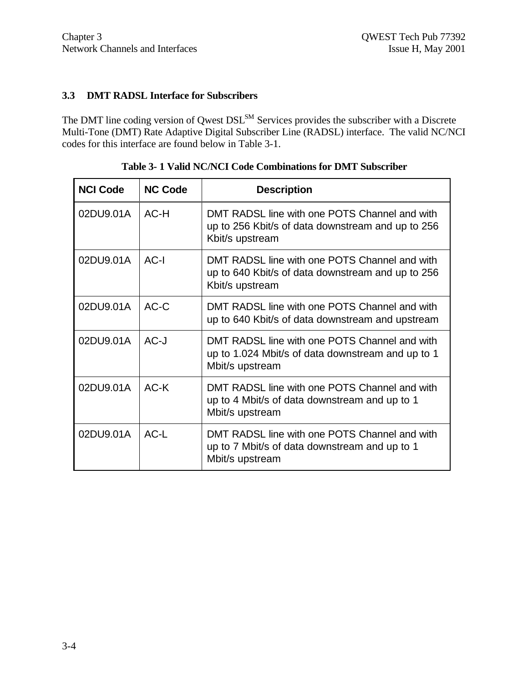#### **3.3 DMT RADSL Interface for Subscribers**

The DMT line coding version of Qwest DSL<sup>SM</sup> Services provides the subscriber with a Discrete Multi-Tone (DMT) Rate Adaptive Digital Subscriber Line (RADSL) interface. The valid NC/NCI codes for this interface are found below in Table 3-1.

| <b>NCI Code</b> | <b>NC Code</b> | <b>Description</b>                                                                                                    |  |
|-----------------|----------------|-----------------------------------------------------------------------------------------------------------------------|--|
| 02DU9.01A       | AC-H           | DMT RADSL line with one POTS Channel and with<br>up to 256 Kbit/s of data downstream and up to 256<br>Kbit/s upstream |  |
| 02DU9.01A       | AC-I           | DMT RADSL line with one POTS Channel and with<br>up to 640 Kbit/s of data downstream and up to 256<br>Kbit/s upstream |  |
| 02DU9.01A       | $AC-C$         | DMT RADSL line with one POTS Channel and with<br>up to 640 Kbit/s of data downstream and upstream                     |  |
| 02DU9.01A       | $AC-J$         | DMT RADSL line with one POTS Channel and with<br>up to 1.024 Mbit/s of data downstream and up to 1<br>Mbit/s upstream |  |
| 02DU9.01A       | AC-K           | DMT RADSL line with one POTS Channel and with<br>up to 4 Mbit/s of data downstream and up to 1<br>Mbit/s upstream     |  |
| 02DU9.01A       | AC-L           | DMT RADSL line with one POTS Channel and with<br>up to 7 Mbit/s of data downstream and up to 1<br>Mbit/s upstream     |  |

**Table 3- 1 Valid NC/NCI Code Combinations for DMT Subscriber**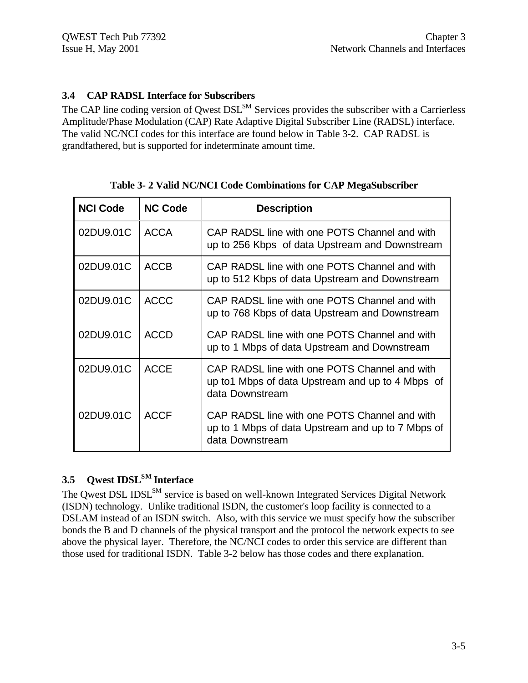#### **3.4 CAP RADSL Interface for Subscribers**

The CAP line coding version of Qwest DSL<sup>SM</sup> Services provides the subscriber with a Carrierless Amplitude/Phase Modulation (CAP) Rate Adaptive Digital Subscriber Line (RADSL) interface. The valid NC/NCI codes for this interface are found below in Table 3-2. CAP RADSL is grandfathered, but is supported for indeterminate amount time.

| <b>NCI Code</b> | <b>NC Code</b> | <b>Description</b>                                                                                                    |
|-----------------|----------------|-----------------------------------------------------------------------------------------------------------------------|
| 02DU9.01C       | <b>ACCA</b>    | CAP RADSL line with one POTS Channel and with<br>up to 256 Kbps of data Upstream and Downstream                       |
| 02DU9.01C       | <b>ACCB</b>    | CAP RADSL line with one POTS Channel and with<br>up to 512 Kbps of data Upstream and Downstream                       |
| 02DU9.01C       | <b>ACCC</b>    | CAP RADSL line with one POTS Channel and with<br>up to 768 Kbps of data Upstream and Downstream                       |
| 02DU9.01C       | <b>ACCD</b>    | CAP RADSL line with one POTS Channel and with<br>up to 1 Mbps of data Upstream and Downstream                         |
| 02DU9.01C       | <b>ACCE</b>    | CAP RADSL line with one POTS Channel and with<br>up to 1 Mbps of data Upstream and up to 4 Mbps of<br>data Downstream |
| 02DU9.01C       | <b>ACCF</b>    | CAP RADSL line with one POTS Channel and with<br>up to 1 Mbps of data Upstream and up to 7 Mbps of<br>data Downstream |

| Table 3-2 Valid NC/NCI Code Combinations for CAP MegaSubscriber |  |  |
|-----------------------------------------------------------------|--|--|
|                                                                 |  |  |

#### **3.5 Qwest IDSLSM Interface**

The Qwest DSL IDSL<sup>SM</sup> service is based on well-known Integrated Services Digital Network (ISDN) technology. Unlike traditional ISDN, the customer's loop facility is connected to a DSLAM instead of an ISDN switch. Also, with this service we must specify how the subscriber bonds the B and D channels of the physical transport and the protocol the network expects to see above the physical layer. Therefore, the NC/NCI codes to order this service are different than those used for traditional ISDN. Table 3-2 below has those codes and there explanation.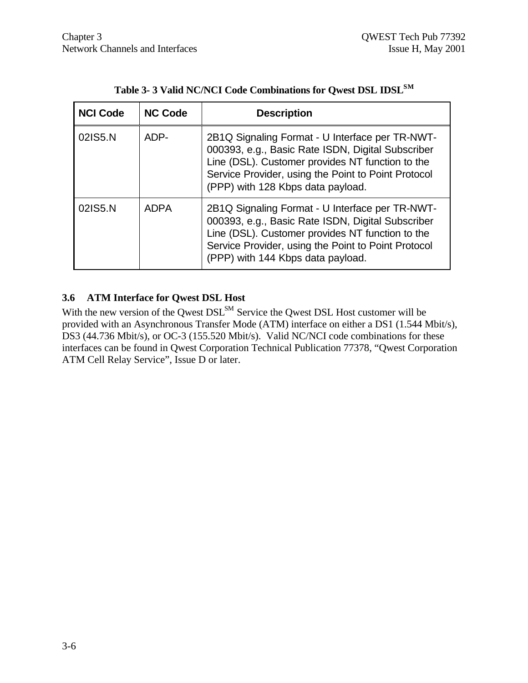| <b>NCI Code</b> | <b>NC Code</b> | <b>Description</b>                                                                                                                                                                                                                                   |
|-----------------|----------------|------------------------------------------------------------------------------------------------------------------------------------------------------------------------------------------------------------------------------------------------------|
| 02IS5.N         | ADP-           | 2B1Q Signaling Format - U Interface per TR-NWT-<br>000393, e.g., Basic Rate ISDN, Digital Subscriber<br>Line (DSL). Customer provides NT function to the<br>Service Provider, using the Point to Point Protocol<br>(PPP) with 128 Kbps data payload. |
| 02IS5.N         | ADPA           | 2B1Q Signaling Format - U Interface per TR-NWT-<br>000393, e.g., Basic Rate ISDN, Digital Subscriber<br>Line (DSL). Customer provides NT function to the<br>Service Provider, using the Point to Point Protocol<br>(PPP) with 144 Kbps data payload. |

| Table 3- 3 Valid NC/NCI Code Combinations for Qwest DSL IDSL <sup>SM</sup> |  |  |  |  |
|----------------------------------------------------------------------------|--|--|--|--|
|----------------------------------------------------------------------------|--|--|--|--|

#### **3.6 ATM Interface for Qwest DSL Host**

With the new version of the Qwest DSL<sup>SM</sup> Service the Qwest DSL Host customer will be provided with an Asynchronous Transfer Mode (ATM) interface on either a DS1 (1.544 Mbit/s), DS3 (44.736 Mbit/s), or OC-3 (155.520 Mbit/s). Valid NC/NCI code combinations for these interfaces can be found in Qwest Corporation Technical Publication 77378, "Qwest Corporation ATM Cell Relay Service", Issue D or later.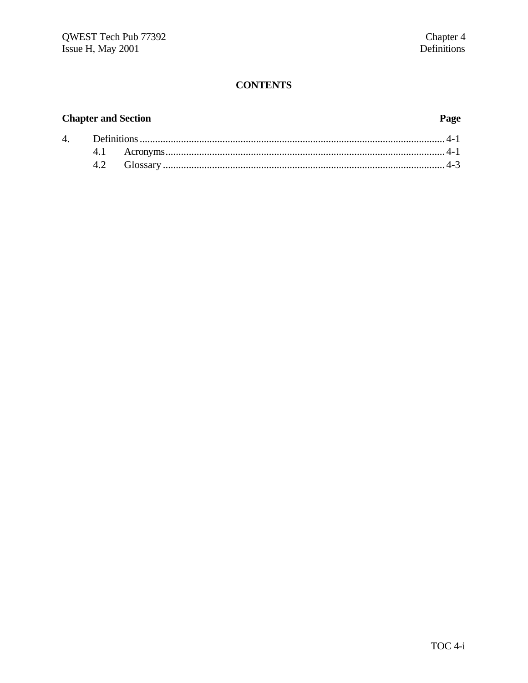#### **CONTENTS**

### **Chapter and Section**

#### Page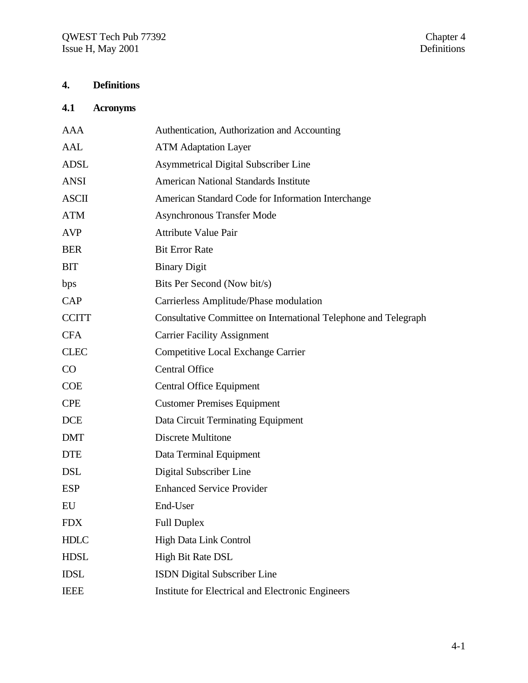#### **4. Definitions**

## **4.1 Acronyms**

| <b>AAA</b>   | Authentication, Authorization and Accounting                    |
|--------------|-----------------------------------------------------------------|
| <b>AAL</b>   | <b>ATM Adaptation Layer</b>                                     |
| <b>ADSL</b>  | <b>Asymmetrical Digital Subscriber Line</b>                     |
| <b>ANSI</b>  | <b>American National Standards Institute</b>                    |
| <b>ASCII</b> | American Standard Code for Information Interchange              |
| <b>ATM</b>   | <b>Asynchronous Transfer Mode</b>                               |
| <b>AVP</b>   | <b>Attribute Value Pair</b>                                     |
| <b>BER</b>   | <b>Bit Error Rate</b>                                           |
| <b>BIT</b>   | <b>Binary Digit</b>                                             |
| bps          | Bits Per Second (Now bit/s)                                     |
| CAP          | Carrierless Amplitude/Phase modulation                          |
| <b>CCITT</b> | Consultative Committee on International Telephone and Telegraph |
| <b>CFA</b>   | <b>Carrier Facility Assignment</b>                              |
| <b>CLEC</b>  | Competitive Local Exchange Carrier                              |
| CO           | <b>Central Office</b>                                           |
| <b>COE</b>   | <b>Central Office Equipment</b>                                 |
| <b>CPE</b>   | <b>Customer Premises Equipment</b>                              |
| <b>DCE</b>   | Data Circuit Terminating Equipment                              |
| <b>DMT</b>   | <b>Discrete Multitone</b>                                       |
| <b>DTE</b>   | Data Terminal Equipment                                         |
| <b>DSL</b>   | Digital Subscriber Line                                         |
| <b>ESP</b>   | <b>Enhanced Service Provider</b>                                |
| EU           | End-User                                                        |
| <b>FDX</b>   | <b>Full Duplex</b>                                              |
| <b>HDLC</b>  | <b>High Data Link Control</b>                                   |
| <b>HDSL</b>  | <b>High Bit Rate DSL</b>                                        |
| <b>IDSL</b>  | ISDN Digital Subscriber Line                                    |
| <b>IEEE</b>  | Institute for Electrical and Electronic Engineers               |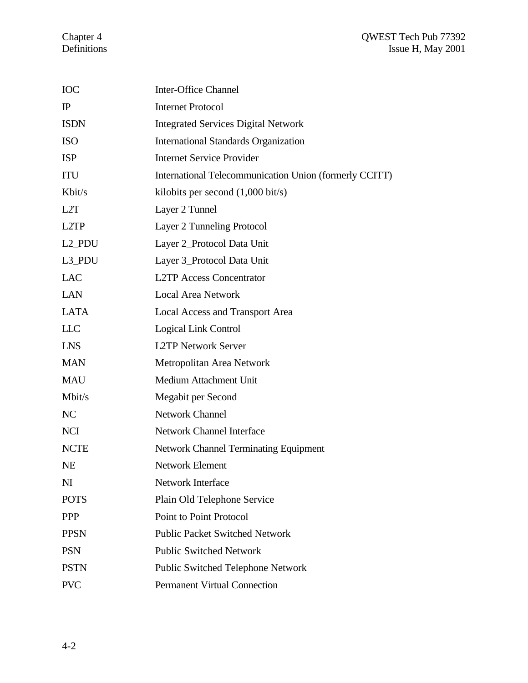| <b>IOC</b>         | <b>Inter-Office Channel</b>                            |
|--------------------|--------------------------------------------------------|
| $\mathbb{P}$       | <b>Internet Protocol</b>                               |
| <b>ISDN</b>        | <b>Integrated Services Digital Network</b>             |
| <b>ISO</b>         | <b>International Standards Organization</b>            |
| <b>ISP</b>         | <b>Internet Service Provider</b>                       |
| <b>ITU</b>         | International Telecommunication Union (formerly CCITT) |
| Kbit/s             | kilobits per second $(1,000 \text{ bit/s})$            |
| L <sub>2</sub> T   | Layer 2 Tunnel                                         |
| L <sub>2</sub> TP  | Layer 2 Tunneling Protocol                             |
| L <sub>2_PDU</sub> | Layer 2_Protocol Data Unit                             |
| L3_PDU             | Layer 3_Protocol Data Unit                             |
| <b>LAC</b>         | <b>L2TP Access Concentrator</b>                        |
| <b>LAN</b>         | <b>Local Area Network</b>                              |
| <b>LATA</b>        | Local Access and Transport Area                        |
| <b>LLC</b>         | <b>Logical Link Control</b>                            |
| <b>LNS</b>         | <b>L2TP Network Server</b>                             |
| <b>MAN</b>         | Metropolitan Area Network                              |
| <b>MAU</b>         | Medium Attachment Unit                                 |
| Mbit/s             | Megabit per Second                                     |
| NC                 | <b>Network Channel</b>                                 |
| <b>NCI</b>         | <b>Network Channel Interface</b>                       |
| <b>NCTE</b>        | <b>Network Channel Terminating Equipment</b>           |
| <b>NE</b>          | <b>Network Element</b>                                 |
| N <sub>I</sub>     | <b>Network Interface</b>                               |
| <b>POTS</b>        | Plain Old Telephone Service                            |
| <b>PPP</b>         | <b>Point to Point Protocol</b>                         |
| <b>PPSN</b>        | <b>Public Packet Switched Network</b>                  |
| <b>PSN</b>         | <b>Public Switched Network</b>                         |
| <b>PSTN</b>        | <b>Public Switched Telephone Network</b>               |
| <b>PVC</b>         | <b>Permanent Virtual Connection</b>                    |
|                    |                                                        |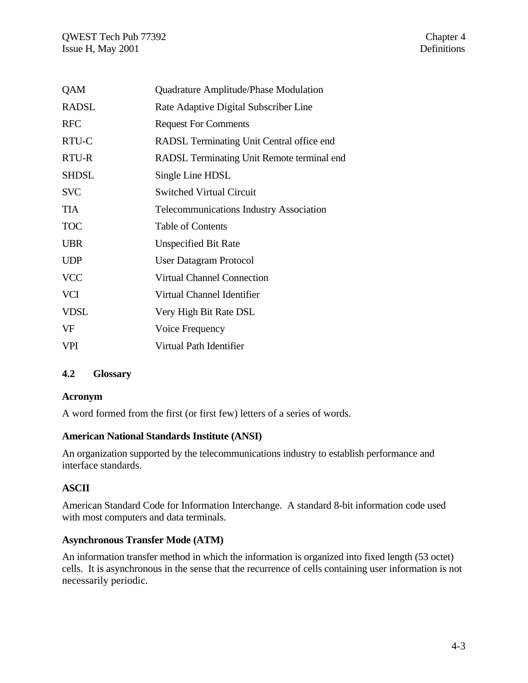| QAM          | Quadrature Amplitude/Phase Modulation          |
|--------------|------------------------------------------------|
| <b>RADSL</b> | Rate Adaptive Digital Subscriber Line          |
| <b>RFC</b>   | <b>Request For Comments</b>                    |
| RTU-C        | RADSL Terminating Unit Central office end      |
| RTU-R        | RADSL Terminating Unit Remote terminal end     |
| <b>SHDSL</b> | Single Line HDSL                               |
| <b>SVC</b>   | <b>Switched Virtual Circuit</b>                |
| <b>TIA</b>   | <b>Telecommunications Industry Association</b> |
| <b>TOC</b>   | <b>Table of Contents</b>                       |
| <b>UBR</b>   | <b>Unspecified Bit Rate</b>                    |
| <b>UDP</b>   | <b>User Datagram Protocol</b>                  |
| <b>VCC</b>   | <b>Virtual Channel Connection</b>              |
| <b>VCI</b>   | Virtual Channel Identifier                     |
| <b>VDSL</b>  | Very High Bit Rate DSL                         |
| VF           | Voice Frequency                                |
| <b>VPI</b>   | Virtual Path Identifier                        |
|              |                                                |

#### **4.2 Glossary**

#### **Acronym**

A word formed from the first (or first few) letters of a series of words.

#### **American National Standards Institute (ANSI)**

An organization supported by the telecommunications industry to establish performance and interface standards.

#### **ASCII**

American Standard Code for Information Interchange. A standard 8-bit information code used with most computers and data terminals.

#### **Asynchronous Transfer Mode (ATM)**

An information transfer method in which the information is organized into fixed length (53 octet) cells. It is asynchronous in the sense that the recurrence of cells containing user information is not necessarily periodic.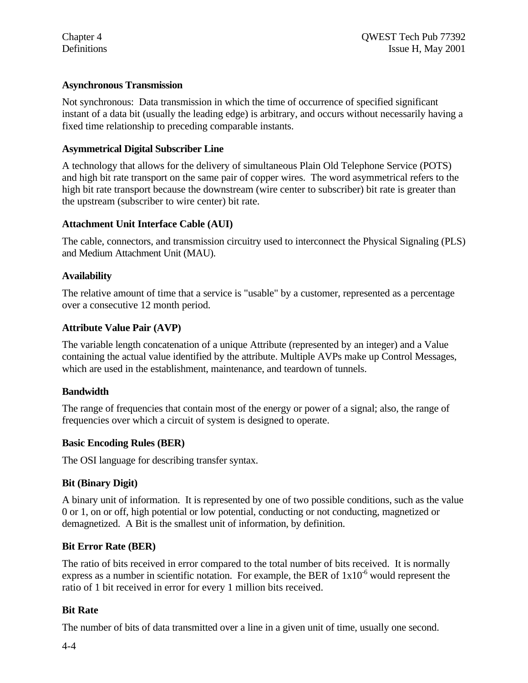#### **Asynchronous Transmission**

Not synchronous: Data transmission in which the time of occurrence of specified significant instant of a data bit (usually the leading edge) is arbitrary, and occurs without necessarily having a fixed time relationship to preceding comparable instants.

#### **Asymmetrical Digital Subscriber Line**

A technology that allows for the delivery of simultaneous Plain Old Telephone Service (POTS) and high bit rate transport on the same pair of copper wires. The word asymmetrical refers to the high bit rate transport because the downstream (wire center to subscriber) bit rate is greater than the upstream (subscriber to wire center) bit rate.

#### **Attachment Unit Interface Cable (AUI)**

The cable, connectors, and transmission circuitry used to interconnect the Physical Signaling (PLS) and Medium Attachment Unit (MAU).

#### **Availability**

The relative amount of time that a service is "usable" by a customer, represented as a percentage over a consecutive 12 month period.

#### **Attribute Value Pair (AVP)**

The variable length concatenation of a unique Attribute (represented by an integer) and a Value containing the actual value identified by the attribute. Multiple AVPs make up Control Messages, which are used in the establishment, maintenance, and teardown of tunnels.

#### **Bandwidth**

The range of frequencies that contain most of the energy or power of a signal; also, the range of frequencies over which a circuit of system is designed to operate.

#### **Basic Encoding Rules (BER)**

The OSI language for describing transfer syntax.

#### **Bit (Binary Digit)**

A binary unit of information. It is represented by one of two possible conditions, such as the value 0 or 1, on or off, high potential or low potential, conducting or not conducting, magnetized or demagnetized. A Bit is the smallest unit of information, by definition.

#### **Bit Error Rate (BER)**

The ratio of bits received in error compared to the total number of bits received. It is normally express as a number in scientific notation. For example, the BER of  $1x10^{-6}$  would represent the ratio of 1 bit received in error for every 1 million bits received.

#### **Bit Rate**

The number of bits of data transmitted over a line in a given unit of time, usually one second.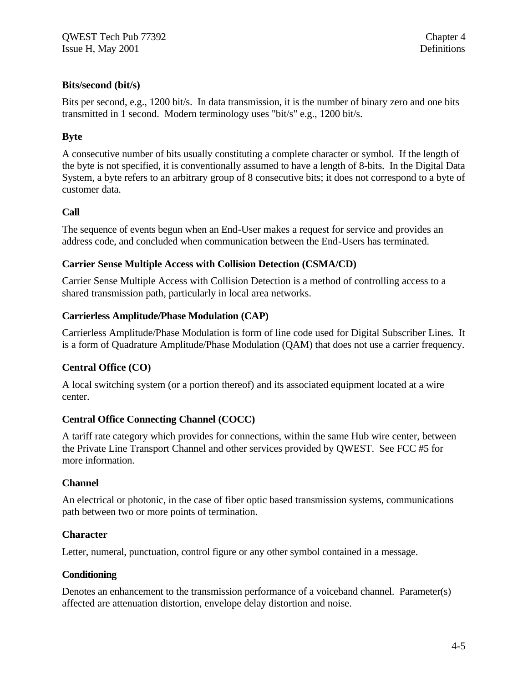#### **Bits/second (bit/s)**

Bits per second, e.g., 1200 bit/s. In data transmission, it is the number of binary zero and one bits transmitted in 1 second. Modern terminology uses "bit/s" e.g., 1200 bit/s.

#### **Byte**

A consecutive number of bits usually constituting a complete character or symbol. If the length of the byte is not specified, it is conventionally assumed to have a length of 8-bits. In the Digital Data System, a byte refers to an arbitrary group of 8 consecutive bits; it does not correspond to a byte of customer data.

#### **Call**

The sequence of events begun when an End-User makes a request for service and provides an address code, and concluded when communication between the End-Users has terminated.

#### **Carrier Sense Multiple Access with Collision Detection (CSMA/CD)**

Carrier Sense Multiple Access with Collision Detection is a method of controlling access to a shared transmission path, particularly in local area networks.

#### **Carrierless Amplitude/Phase Modulation (CAP)**

Carrierless Amplitude/Phase Modulation is form of line code used for Digital Subscriber Lines. It is a form of Quadrature Amplitude/Phase Modulation (QAM) that does not use a carrier frequency.

#### **Central Office (CO)**

A local switching system (or a portion thereof) and its associated equipment located at a wire center.

#### **Central Office Connecting Channel (COCC)**

A tariff rate category which provides for connections, within the same Hub wire center, between the Private Line Transport Channel and other services provided by QWEST. See FCC #5 for more information.

#### **Channel**

An electrical or photonic, in the case of fiber optic based transmission systems, communications path between two or more points of termination.

#### **Character**

Letter, numeral, punctuation, control figure or any other symbol contained in a message.

#### **Conditioning**

Denotes an enhancement to the transmission performance of a voiceband channel. Parameter(s) affected are attenuation distortion, envelope delay distortion and noise.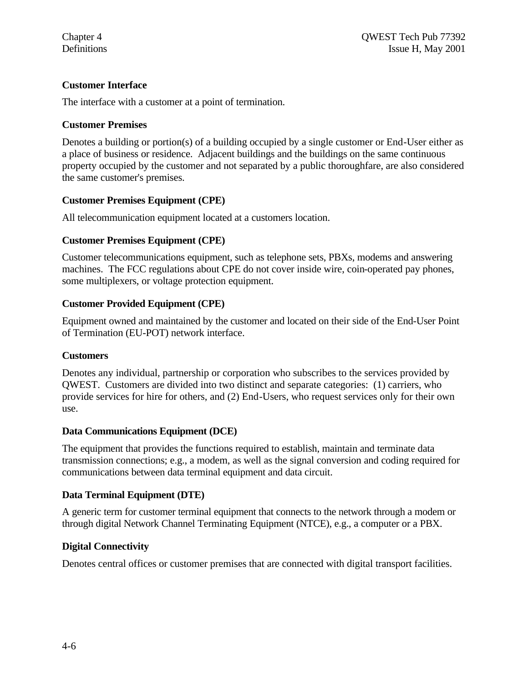#### **Customer Interface**

The interface with a customer at a point of termination.

#### **Customer Premises**

Denotes a building or portion(s) of a building occupied by a single customer or End-User either as a place of business or residence. Adjacent buildings and the buildings on the same continuous property occupied by the customer and not separated by a public thoroughfare, are also considered the same customer's premises.

#### **Customer Premises Equipment (CPE)**

All telecommunication equipment located at a customers location.

#### **Customer Premises Equipment (CPE)**

Customer telecommunications equipment, such as telephone sets, PBXs, modems and answering machines. The FCC regulations about CPE do not cover inside wire, coin-operated pay phones, some multiplexers, or voltage protection equipment.

#### **Customer Provided Equipment (CPE)**

Equipment owned and maintained by the customer and located on their side of the End-User Point of Termination (EU-POT) network interface.

#### **Customers**

Denotes any individual, partnership or corporation who subscribes to the services provided by QWEST. Customers are divided into two distinct and separate categories: (1) carriers, who provide services for hire for others, and (2) End-Users, who request services only for their own use.

#### **Data Communications Equipment (DCE)**

The equipment that provides the functions required to establish, maintain and terminate data transmission connections; e.g., a modem, as well as the signal conversion and coding required for communications between data terminal equipment and data circuit.

#### **Data Terminal Equipment (DTE)**

A generic term for customer terminal equipment that connects to the network through a modem or through digital Network Channel Terminating Equipment (NTCE), e.g., a computer or a PBX.

#### **Digital Connectivity**

Denotes central offices or customer premises that are connected with digital transport facilities.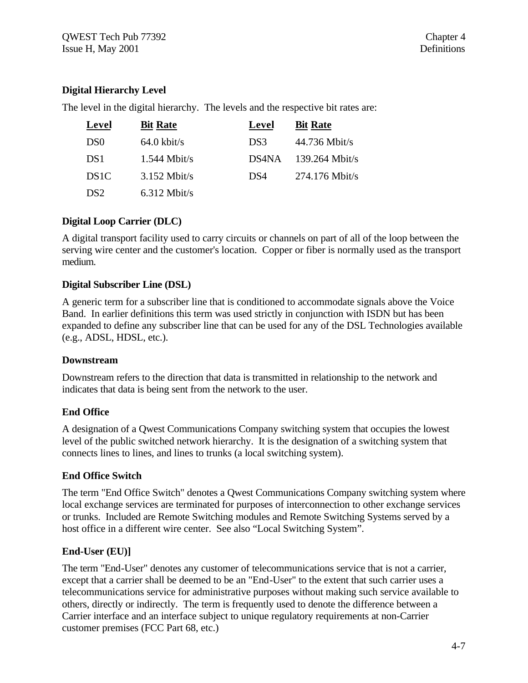#### **Digital Hierarchy Level**

The level in the digital hierarchy. The levels and the respective bit rates are:

| Level             | <b>Bit Rate</b>       | Level | <b>Bit Rate</b>  |
|-------------------|-----------------------|-------|------------------|
| D <sub>S0</sub>   | $64.0 \text{ kbit/s}$ | DS3   | 44.736 Mbit/s    |
| DS <sub>1</sub>   | $1.544$ Mbit/s        | DS4NA | $139.264$ Mbit/s |
| DS <sub>1</sub> C | $3.152$ Mbit/s        | DS4   | $274.176$ Mbit/s |
| DS <sub>2</sub>   | $6.312$ Mbit/s        |       |                  |

#### **Digital Loop Carrier (DLC)**

A digital transport facility used to carry circuits or channels on part of all of the loop between the serving wire center and the customer's location. Copper or fiber is normally used as the transport medium.

#### **Digital Subscriber Line (DSL)**

A generic term for a subscriber line that is conditioned to accommodate signals above the Voice Band. In earlier definitions this term was used strictly in conjunction with ISDN but has been expanded to define any subscriber line that can be used for any of the DSL Technologies available (e.g., ADSL, HDSL, etc.).

#### **Downstream**

Downstream refers to the direction that data is transmitted in relationship to the network and indicates that data is being sent from the network to the user.

#### **End Office**

A designation of a Qwest Communications Company switching system that occupies the lowest level of the public switched network hierarchy. It is the designation of a switching system that connects lines to lines, and lines to trunks (a local switching system).

#### **End Office Switch**

The term "End Office Switch" denotes a Qwest Communications Company switching system where local exchange services are terminated for purposes of interconnection to other exchange services or trunks. Included are Remote Switching modules and Remote Switching Systems served by a host office in a different wire center. See also "Local Switching System".

#### **End-User (EU)]**

The term "End-User" denotes any customer of telecommunications service that is not a carrier, except that a carrier shall be deemed to be an "End-User" to the extent that such carrier uses a telecommunications service for administrative purposes without making such service available to others, directly or indirectly. The term is frequently used to denote the difference between a Carrier interface and an interface subject to unique regulatory requirements at non-Carrier customer premises (FCC Part 68, etc.)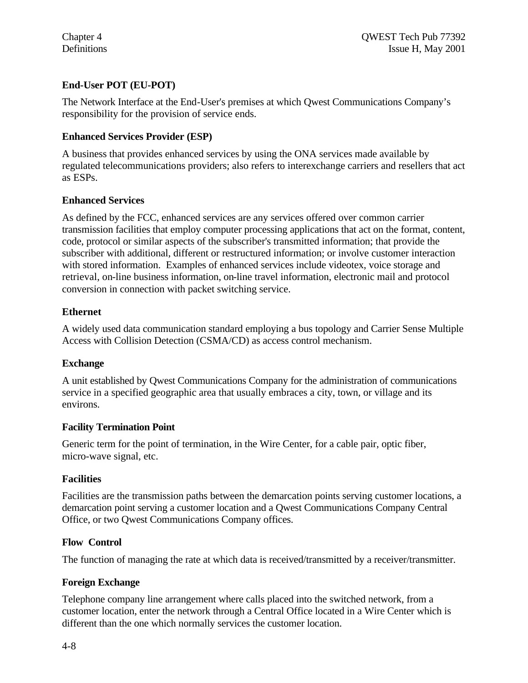#### **End-User POT (EU-POT)**

The Network Interface at the End-User's premises at which Qwest Communications Company's responsibility for the provision of service ends.

#### **Enhanced Services Provider (ESP)**

A business that provides enhanced services by using the ONA services made available by regulated telecommunications providers; also refers to interexchange carriers and resellers that act as ESPs.

#### **Enhanced Services**

As defined by the FCC, enhanced services are any services offered over common carrier transmission facilities that employ computer processing applications that act on the format, content, code, protocol or similar aspects of the subscriber's transmitted information; that provide the subscriber with additional, different or restructured information; or involve customer interaction with stored information. Examples of enhanced services include videotex, voice storage and retrieval, on-line business information, on-line travel information, electronic mail and protocol conversion in connection with packet switching service.

#### **Ethernet**

A widely used data communication standard employing a bus topology and Carrier Sense Multiple Access with Collision Detection (CSMA/CD) as access control mechanism.

#### **Exchange**

A unit established by Qwest Communications Company for the administration of communications service in a specified geographic area that usually embraces a city, town, or village and its environs.

#### **Facility Termination Point**

Generic term for the point of termination, in the Wire Center, for a cable pair, optic fiber, micro-wave signal, etc.

#### **Facilities**

Facilities are the transmission paths between the demarcation points serving customer locations, a demarcation point serving a customer location and a Qwest Communications Company Central Office, or two Qwest Communications Company offices.

#### **Flow Control**

The function of managing the rate at which data is received/transmitted by a receiver/transmitter.

#### **Foreign Exchange**

Telephone company line arrangement where calls placed into the switched network, from a customer location, enter the network through a Central Office located in a Wire Center which is different than the one which normally services the customer location.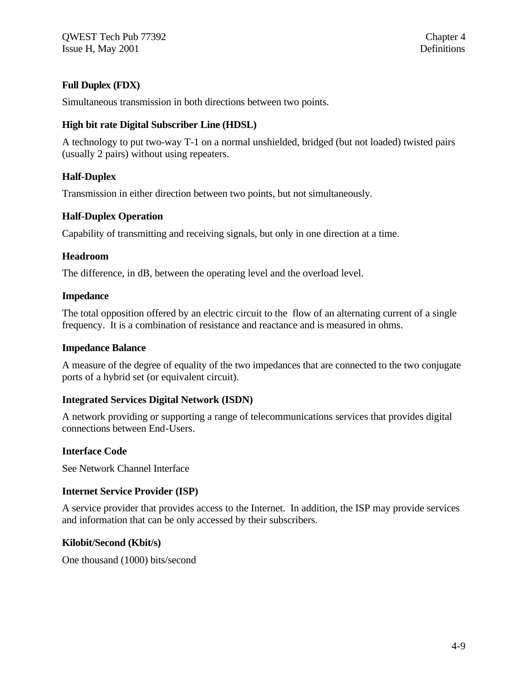#### **Full Duplex (FDX)**

Simultaneous transmission in both directions between two points.

#### **High bit rate Digital Subscriber Line (HDSL)**

A technology to put two-way T-1 on a normal unshielded, bridged (but not loaded) twisted pairs (usually 2 pairs) without using repeaters.

#### **Half-Duplex**

Transmission in either direction between two points, but not simultaneously.

#### **Half-Duplex Operation**

Capability of transmitting and receiving signals, but only in one direction at a time.

#### **Headroom**

The difference, in dB, between the operating level and the overload level.

#### **Impedance**

The total opposition offered by an electric circuit to the flow of an alternating current of a single frequency. It is a combination of resistance and reactance and is measured in ohms.

#### **Impedance Balance**

A measure of the degree of equality of the two impedances that are connected to the two conjugate ports of a hybrid set (or equivalent circuit).

#### **Integrated Services Digital Network (ISDN)**

A network providing or supporting a range of telecommunications services that provides digital connections between End-Users.

#### **Interface Code**

See Network Channel Interface

#### **Internet Service Provider (ISP)**

A service provider that provides access to the Internet. In addition, the ISP may provide services and information that can be only accessed by their subscribers.

#### **Kilobit/Second (Kbit/s)**

One thousand (1000) bits/second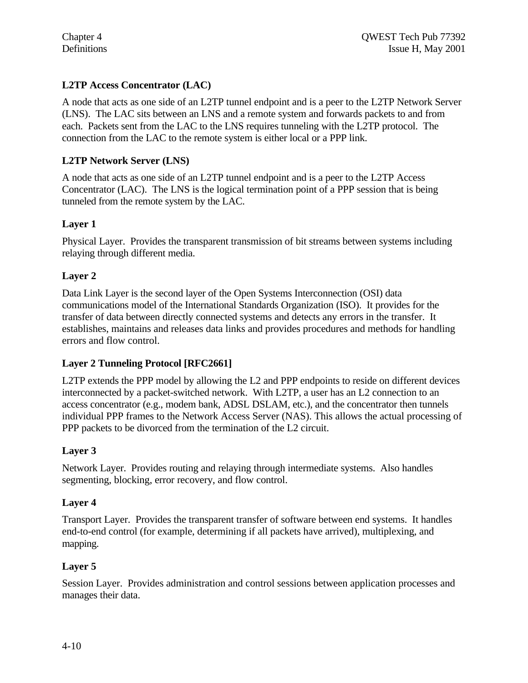#### **L2TP Access Concentrator (LAC)**

A node that acts as one side of an L2TP tunnel endpoint and is a peer to the L2TP Network Server (LNS). The LAC sits between an LNS and a remote system and forwards packets to and from each. Packets sent from the LAC to the LNS requires tunneling with the L2TP protocol. The connection from the LAC to the remote system is either local or a PPP link.

#### **L2TP Network Server (LNS)**

A node that acts as one side of an L2TP tunnel endpoint and is a peer to the L2TP Access Concentrator (LAC). The LNS is the logical termination point of a PPP session that is being tunneled from the remote system by the LAC.

#### **Layer 1**

Physical Layer. Provides the transparent transmission of bit streams between systems including relaying through different media.

#### **Layer 2**

Data Link Layer is the second layer of the Open Systems Interconnection (OSI) data communications model of the International Standards Organization (ISO). It provides for the transfer of data between directly connected systems and detects any errors in the transfer. It establishes, maintains and releases data links and provides procedures and methods for handling errors and flow control.

#### **Layer 2 Tunneling Protocol [RFC2661]**

L2TP extends the PPP model by allowing the L2 and PPP endpoints to reside on different devices interconnected by a packet-switched network. With L2TP, a user has an L2 connection to an access concentrator (e.g., modem bank, ADSL DSLAM, etc.), and the concentrator then tunnels individual PPP frames to the Network Access Server (NAS). This allows the actual processing of PPP packets to be divorced from the termination of the L2 circuit.

#### **Layer 3**

Network Layer. Provides routing and relaying through intermediate systems. Also handles segmenting, blocking, error recovery, and flow control.

#### **Layer 4**

Transport Layer. Provides the transparent transfer of software between end systems. It handles end-to-end control (for example, determining if all packets have arrived), multiplexing, and mapping.

#### **Layer 5**

Session Layer. Provides administration and control sessions between application processes and manages their data.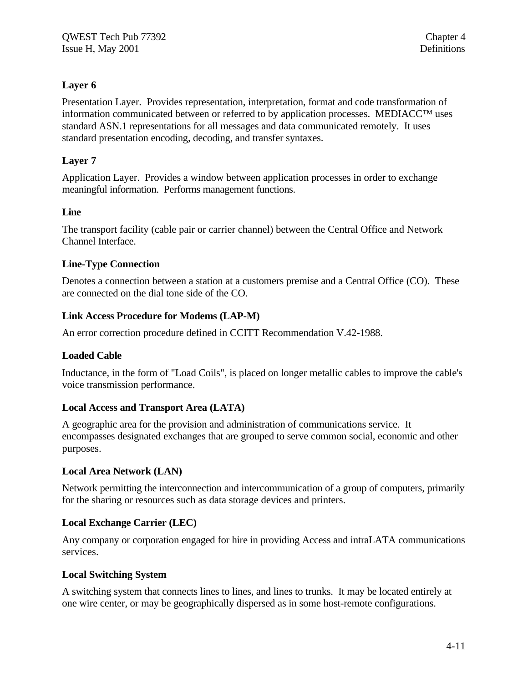#### **Layer 6**

Presentation Layer. Provides representation, interpretation, format and code transformation of information communicated between or referred to by application processes. MEDIACC™ uses standard ASN.1 representations for all messages and data communicated remotely. It uses standard presentation encoding, decoding, and transfer syntaxes.

#### **Layer 7**

Application Layer. Provides a window between application processes in order to exchange meaningful information. Performs management functions.

#### **Line**

The transport facility (cable pair or carrier channel) between the Central Office and Network Channel Interface.

#### **Line-Type Connection**

Denotes a connection between a station at a customers premise and a Central Office (CO). These are connected on the dial tone side of the CO.

#### **Link Access Procedure for Modems (LAP-M)**

An error correction procedure defined in CCITT Recommendation V.42-1988.

#### **Loaded Cable**

Inductance, in the form of "Load Coils", is placed on longer metallic cables to improve the cable's voice transmission performance.

#### **Local Access and Transport Area (LATA)**

A geographic area for the provision and administration of communications service. It encompasses designated exchanges that are grouped to serve common social, economic and other purposes.

#### **Local Area Network (LAN)**

Network permitting the interconnection and intercommunication of a group of computers, primarily for the sharing or resources such as data storage devices and printers.

#### **Local Exchange Carrier (LEC)**

Any company or corporation engaged for hire in providing Access and intraLATA communications services.

#### **Local Switching System**

A switching system that connects lines to lines, and lines to trunks. It may be located entirely at one wire center, or may be geographically dispersed as in some host-remote configurations.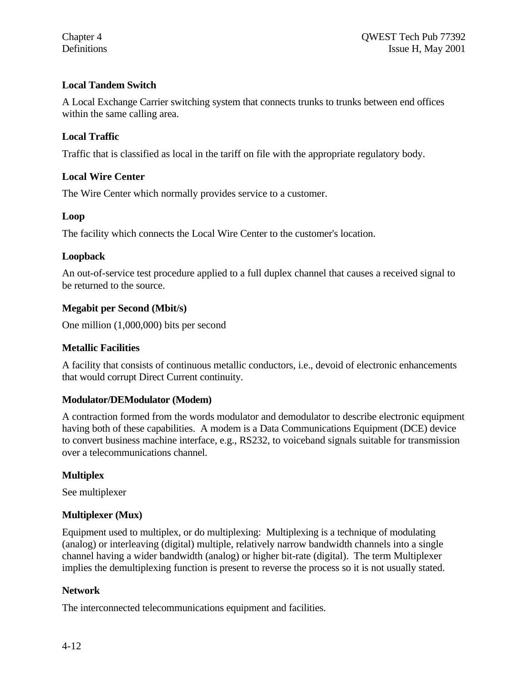#### **Local Tandem Switch**

A Local Exchange Carrier switching system that connects trunks to trunks between end offices within the same calling area.

#### **Local Traffic**

Traffic that is classified as local in the tariff on file with the appropriate regulatory body.

#### **Local Wire Center**

The Wire Center which normally provides service to a customer.

#### **Loop**

The facility which connects the Local Wire Center to the customer's location.

#### **Loopback**

An out-of-service test procedure applied to a full duplex channel that causes a received signal to be returned to the source.

#### **Megabit per Second (Mbit/s)**

One million (1,000,000) bits per second

#### **Metallic Facilities**

A facility that consists of continuous metallic conductors, i.e., devoid of electronic enhancements that would corrupt Direct Current continuity.

#### **Modulator/DEModulator (Modem)**

A contraction formed from the words modulator and demodulator to describe electronic equipment having both of these capabilities. A modem is a Data Communications Equipment (DCE) device to convert business machine interface, e.g., RS232, to voiceband signals suitable for transmission over a telecommunications channel.

#### **Multiplex**

See multiplexer

#### **Multiplexer (Mux)**

Equipment used to multiplex, or do multiplexing: Multiplexing is a technique of modulating (analog) or interleaving (digital) multiple, relatively narrow bandwidth channels into a single channel having a wider bandwidth (analog) or higher bit-rate (digital). The term Multiplexer implies the demultiplexing function is present to reverse the process so it is not usually stated.

#### **Network**

The interconnected telecommunications equipment and facilities.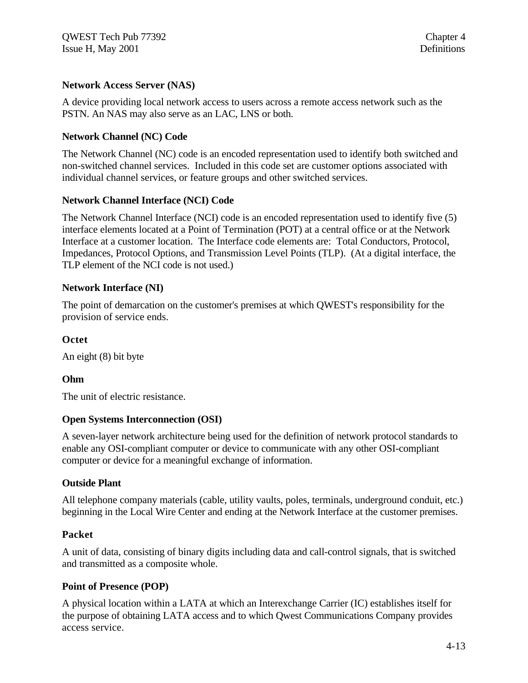#### **Network Access Server (NAS)**

A device providing local network access to users across a remote access network such as the PSTN. An NAS may also serve as an LAC, LNS or both.

#### **Network Channel (NC) Code**

The Network Channel (NC) code is an encoded representation used to identify both switched and non-switched channel services. Included in this code set are customer options associated with individual channel services, or feature groups and other switched services.

#### **Network Channel Interface (NCI) Code**

The Network Channel Interface (NCI) code is an encoded representation used to identify five (5) interface elements located at a Point of Termination (POT) at a central office or at the Network Interface at a customer location. The Interface code elements are: Total Conductors, Protocol, Impedances, Protocol Options, and Transmission Level Points (TLP). (At a digital interface, the TLP element of the NCI code is not used.)

#### **Network Interface (NI)**

The point of demarcation on the customer's premises at which QWEST's responsibility for the provision of service ends.

#### **Octet**

An eight (8) bit byte

#### **Ohm**

The unit of electric resistance.

#### **Open Systems Interconnection (OSI)**

A seven-layer network architecture being used for the definition of network protocol standards to enable any OSI-compliant computer or device to communicate with any other OSI-compliant computer or device for a meaningful exchange of information.

#### **Outside Plant**

All telephone company materials (cable, utility vaults, poles, terminals, underground conduit, etc.) beginning in the Local Wire Center and ending at the Network Interface at the customer premises.

#### **Packet**

A unit of data, consisting of binary digits including data and call-control signals, that is switched and transmitted as a composite whole.

#### **Point of Presence (POP)**

A physical location within a LATA at which an Interexchange Carrier (IC) establishes itself for the purpose of obtaining LATA access and to which Qwest Communications Company provides access service.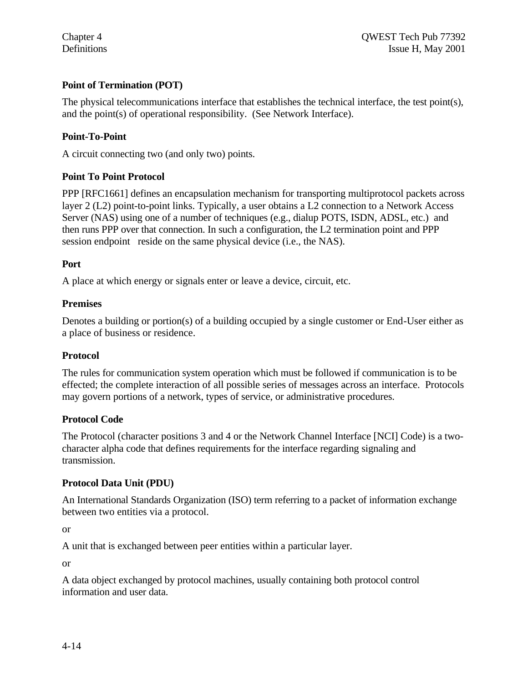#### **Point of Termination (POT)**

The physical telecommunications interface that establishes the technical interface, the test point(s), and the point(s) of operational responsibility. (See Network Interface).

#### **Point-To-Point**

A circuit connecting two (and only two) points.

#### **Point To Point Protocol**

PPP [RFC1661] defines an encapsulation mechanism for transporting multiprotocol packets across layer 2 (L2) point-to-point links. Typically, a user obtains a L2 connection to a Network Access Server (NAS) using one of a number of techniques (e.g., dialup POTS, ISDN, ADSL, etc.) and then runs PPP over that connection. In such a configuration, the L2 termination point and PPP session endpoint reside on the same physical device (i.e., the NAS).

#### **Port**

A place at which energy or signals enter or leave a device, circuit, etc.

#### **Premises**

Denotes a building or portion(s) of a building occupied by a single customer or End-User either as a place of business or residence.

#### **Protocol**

The rules for communication system operation which must be followed if communication is to be effected; the complete interaction of all possible series of messages across an interface. Protocols may govern portions of a network, types of service, or administrative procedures.

#### **Protocol Code**

The Protocol (character positions 3 and 4 or the Network Channel Interface [NCI] Code) is a twocharacter alpha code that defines requirements for the interface regarding signaling and transmission.

#### **Protocol Data Unit (PDU)**

An International Standards Organization (ISO) term referring to a packet of information exchange between two entities via a protocol.

or

A unit that is exchanged between peer entities within a particular layer.

or

A data object exchanged by protocol machines, usually containing both protocol control information and user data.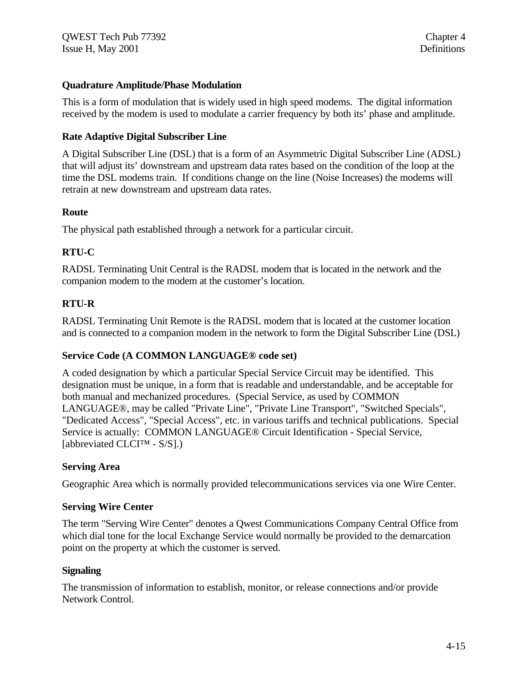#### **Quadrature Amplitude/Phase Modulation**

This is a form of modulation that is widely used in high speed modems. The digital information received by the modem is used to modulate a carrier frequency by both its' phase and amplitude.

#### **Rate Adaptive Digital Subscriber Line**

A Digital Subscriber Line (DSL) that is a form of an Asymmetric Digital Subscriber Line (ADSL) that will adjust its' downstream and upstream data rates based on the condition of the loop at the time the DSL modems train. If conditions change on the line (Noise Increases) the modems will retrain at new downstream and upstream data rates.

#### **Route**

The physical path established through a network for a particular circuit.

#### **RTU-C**

RADSL Terminating Unit Central is the RADSL modem that is located in the network and the companion modem to the modem at the customer's location.

#### **RTU-R**

RADSL Terminating Unit Remote is the RADSL modem that is located at the customer location and is connected to a companion modem in the network to form the Digital Subscriber Line (DSL)

#### **Service Code (A COMMON LANGUAGE® code set)**

A coded designation by which a particular Special Service Circuit may be identified. This designation must be unique, in a form that is readable and understandable, and be acceptable for both manual and mechanized procedures. (Special Service, as used by COMMON LANGUAGE®, may be called "Private Line", "Private Line Transport", "Switched Specials", "Dedicated Access", "Special Access", etc. in various tariffs and technical publications. Special Service is actually: COMMON LANGUAGE® Circuit Identification - Special Service, [abbreviated CLCI™ - S/S].)

#### **Serving Area**

Geographic Area which is normally provided telecommunications services via one Wire Center.

#### **Serving Wire Center**

The term "Serving Wire Center" denotes a Qwest Communications Company Central Office from which dial tone for the local Exchange Service would normally be provided to the demarcation point on the property at which the customer is served.

#### **Signaling**

The transmission of information to establish, monitor, or release connections and/or provide Network Control.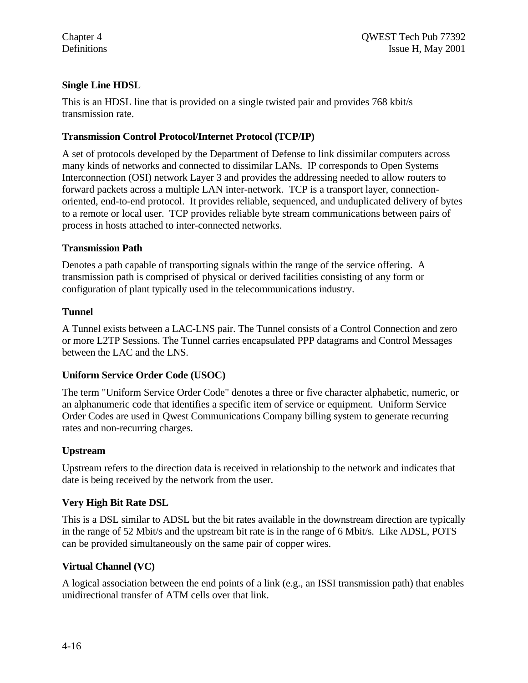#### **Single Line HDSL**

This is an HDSL line that is provided on a single twisted pair and provides 768 kbit/s transmission rate.

#### **Transmission Control Protocol/Internet Protocol (TCP/IP)**

A set of protocols developed by the Department of Defense to link dissimilar computers across many kinds of networks and connected to dissimilar LANs. IP corresponds to Open Systems Interconnection (OSI) network Layer 3 and provides the addressing needed to allow routers to forward packets across a multiple LAN inter-network. TCP is a transport layer, connectionoriented, end-to-end protocol. It provides reliable, sequenced, and unduplicated delivery of bytes to a remote or local user. TCP provides reliable byte stream communications between pairs of process in hosts attached to inter-connected networks.

#### **Transmission Path**

Denotes a path capable of transporting signals within the range of the service offering. A transmission path is comprised of physical or derived facilities consisting of any form or configuration of plant typically used in the telecommunications industry.

#### **Tunnel**

A Tunnel exists between a LAC-LNS pair. The Tunnel consists of a Control Connection and zero or more L2TP Sessions. The Tunnel carries encapsulated PPP datagrams and Control Messages between the LAC and the LNS.

#### **Uniform Service Order Code (USOC)**

The term "Uniform Service Order Code" denotes a three or five character alphabetic, numeric, or an alphanumeric code that identifies a specific item of service or equipment. Uniform Service Order Codes are used in Qwest Communications Company billing system to generate recurring rates and non-recurring charges.

#### **Upstream**

Upstream refers to the direction data is received in relationship to the network and indicates that date is being received by the network from the user.

#### **Very High Bit Rate DSL**

This is a DSL similar to ADSL but the bit rates available in the downstream direction are typically in the range of 52 Mbit/s and the upstream bit rate is in the range of 6 Mbit/s. Like ADSL, POTS can be provided simultaneously on the same pair of copper wires.

#### **Virtual Channel (VC)**

A logical association between the end points of a link (e.g., an ISSI transmission path) that enables unidirectional transfer of ATM cells over that link.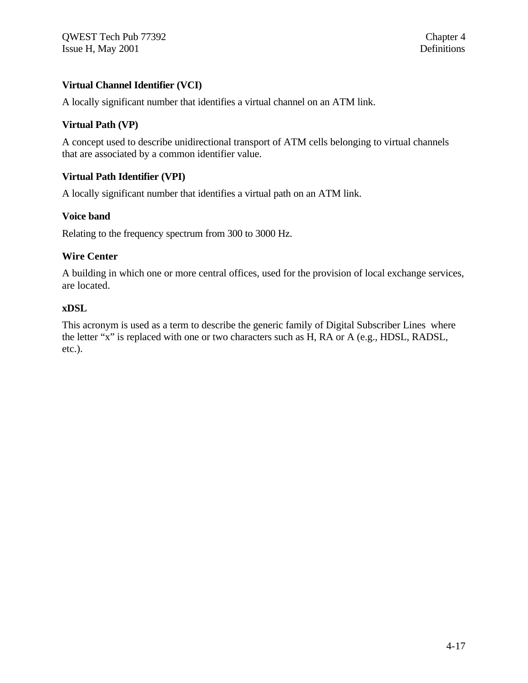#### **Virtual Channel Identifier (VCI)**

A locally significant number that identifies a virtual channel on an ATM link.

#### **Virtual Path (VP)**

A concept used to describe unidirectional transport of ATM cells belonging to virtual channels that are associated by a common identifier value.

#### **Virtual Path Identifier (VPI)**

A locally significant number that identifies a virtual path on an ATM link.

#### **Voice band**

Relating to the frequency spectrum from 300 to 3000 Hz.

#### **Wire Center**

A building in which one or more central offices, used for the provision of local exchange services, are located.

#### **xDSL**

This acronym is used as a term to describe the generic family of Digital Subscriber Lines where the letter "x" is replaced with one or two characters such as H, RA or A (e.g., HDSL, RADSL, etc.).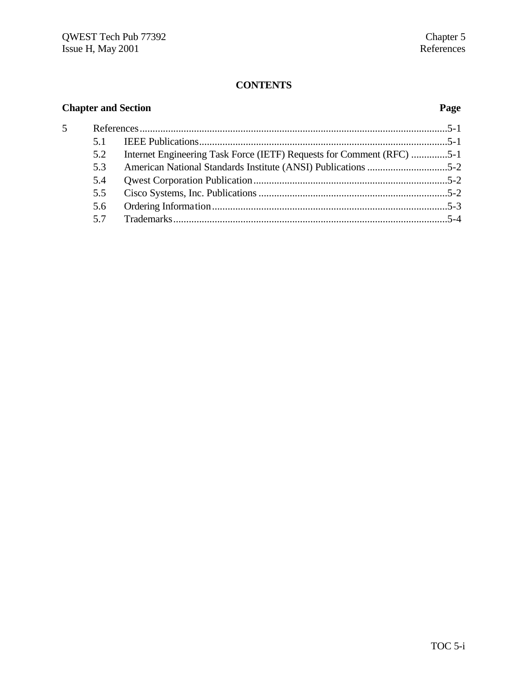#### **CONTENTS**

### **Chapter and Section Page**

| 5 |     |                                                                       |  |
|---|-----|-----------------------------------------------------------------------|--|
|   | 51  |                                                                       |  |
|   | 5.2 | Internet Engineering Task Force (IETF) Requests for Comment (RFC) 5-1 |  |
|   | 5.3 |                                                                       |  |
|   | 5.4 |                                                                       |  |
|   | 5.5 |                                                                       |  |
|   | 5.6 |                                                                       |  |
|   | 57  |                                                                       |  |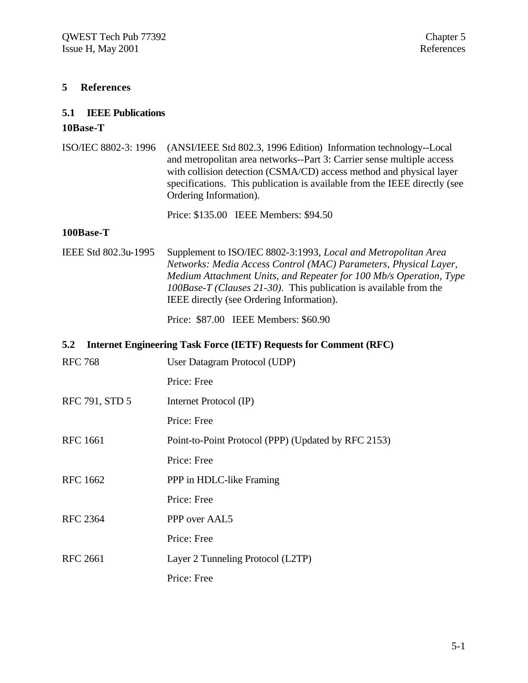#### **5 References**

# **5.1 IEEE Publications**

#### **10Base-T**

ISO/IEC 8802-3: 1996 (ANSI/IEEE Std 802.3, 1996 Edition) Information technology--Local and metropolitan area networks--Part 3: Carrier sense multiple access with collision detection (CSMA/CD) access method and physical layer specifications. This publication is available from the IEEE directly (see Ordering Information).

Price: \$135.00 IEEE Members: \$94.50

#### **100Base-T**

IEEE Std 802.3u-1995 Supplement to ISO/IEC 8802-3:1993, *Local and Metropolitan Area Networks: Media Access Control (MAC) Parameters, Physical Layer, Medium Attachment Units, and Repeater for 100 Mb/s Operation, Type 100Base-T (Clauses 21-30).* This publication is available from the IEEE directly (see Ordering Information).

Price: \$87.00 IEEE Members: \$60.90

#### **5.2 Internet Engineering Task Force (IETF) Requests for Comment (RFC)**

| <b>RFC 768</b>  | User Datagram Protocol (UDP)                        |
|-----------------|-----------------------------------------------------|
|                 | Price: Free                                         |
| RFC 791, STD 5  | Internet Protocol (IP)                              |
|                 | Price: Free                                         |
| <b>RFC 1661</b> | Point-to-Point Protocol (PPP) (Updated by RFC 2153) |
|                 | Price: Free                                         |
| RFC 1662        | PPP in HDLC-like Framing                            |
|                 | Price: Free                                         |
| <b>RFC 2364</b> | PPP over AAL5                                       |
|                 | Price: Free                                         |
| <b>RFC 2661</b> | Layer 2 Tunneling Protocol (L2TP)                   |
|                 | Price: Free                                         |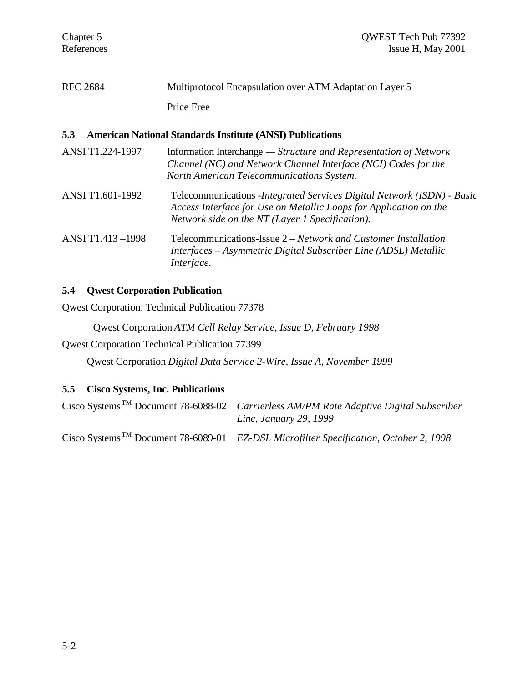| <b>RFC 2684</b> | Multiprotocol Encapsulation over ATM Adaptation Layer 5 |
|-----------------|---------------------------------------------------------|
|                 | Price Free                                              |

#### **5.3 American National Standards Institute (ANSI) Publications**

| ANSI T1.224-1997               | Information Interchange — Structure and Representation of Network<br>Channel (NC) and Network Channel Interface (NCI) Codes for the<br><b>North American Telecommunications System.</b> |
|--------------------------------|-----------------------------------------------------------------------------------------------------------------------------------------------------------------------------------------|
| $\lambda$ MMT $\pi$ 1.601.1000 | $T = 1$ $T = 1$ $T = 10$ $T = 11$ $T = 11$                                                                                                                                              |

- ANSI T1.601-1992 Telecommunications -*Integrated Services Digital Network (ISDN) Basic Access Interface for Use on Metallic Loops for Application on the Network side on the NT (Layer 1 Specification).*
- ANSI T1.413 –1998 Telecommunications-Issue 2 *Network and Customer Installation Interfaces – Asymmetric Digital Subscriber Line (ADSL) Metallic Interface.*

#### **5.4 Qwest Corporation Publication**

Qwest Corporation. Technical Publication 77378

Qwest Corporation *ATM Cell Relay Service, Issue D, February 1998*

Qwest Corporation Technical Publication 77399

Qwest Corporation *Digital Data Service 2-Wire, Issue A, November 1999*

#### **5.5 Cisco Systems, Inc. Publications**

Cisco SystemsTM Document 78-6088-02 *Carrierless AM/PM Rate Adaptive Digital Subscriber Line, January 29, 1999* Cisco SystemsTM Document 78-6089-01 *EZ-DSL Microfilter Specification, October 2, 1998*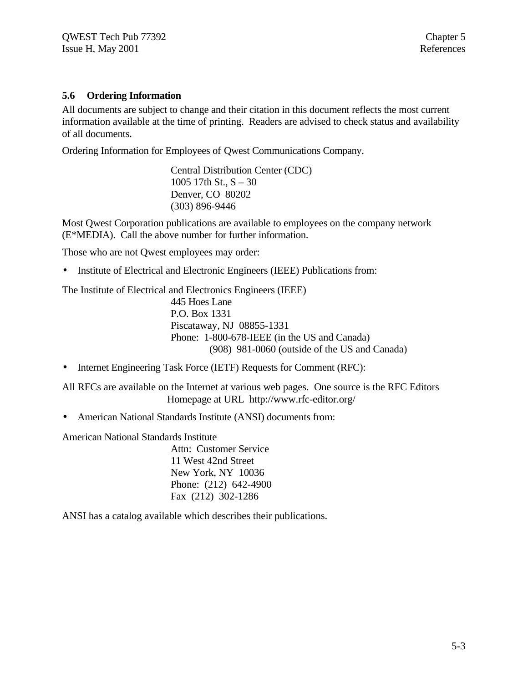#### **5.6 Ordering Information**

All documents are subject to change and their citation in this document reflects the most current information available at the time of printing. Readers are advised to check status and availability of all documents.

Ordering Information for Employees of Qwest Communications Company.

Central Distribution Center (CDC) 1005 17th St., S – 30 Denver, CO 80202 (303) 896-9446

Most Qwest Corporation publications are available to employees on the company network (E\*MEDIA). Call the above number for further information.

Those who are not Qwest employees may order:

• Institute of Electrical and Electronic Engineers (IEEE) Publications from:

The Institute of Electrical and Electronics Engineers (IEEE) 445 Hoes Lane

P.O. Box 1331 Piscataway, NJ 08855-1331 Phone: 1-800-678-IEEE (in the US and Canada) (908) 981-0060 (outside of the US and Canada)

• Internet Engineering Task Force (IETF) Requests for Comment (RFC):

All RFCs are available on the Internet at various web pages. One source is the RFC Editors Homepage at URL http://www.rfc-editor.org/

• American National Standards Institute (ANSI) documents from:

American National Standards Institute

Attn: Customer Service 11 West 42nd Street New York, NY 10036 Phone: (212) 642-4900 Fax (212) 302-1286

ANSI has a catalog available which describes their publications.